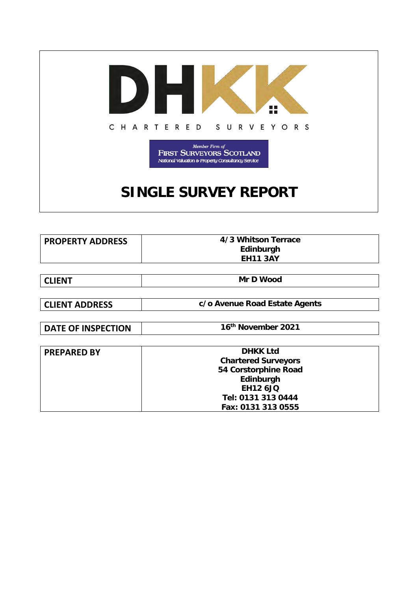

| <b>PROPERTY ADDRESS</b> | 4/3 Whitson Terrace |
|-------------------------|---------------------|
|                         | Edinburgh           |
|                         | <b>EH11 3AY</b>     |
|                         |                     |

| <b>CLIENT</b> | <b>Mr D Wood</b> |
|---------------|------------------|
|---------------|------------------|

**CLIENT ADDRESS c/o Avenue Road Estate Agents**

**DATE OF INSPECTION 16<sup>th</sup> November 2021** 

| <b>PREPARED BY</b> | <b>DHKK Ltd</b><br><b>Chartered Surveyors</b><br>54 Corstorphine Road    |
|--------------------|--------------------------------------------------------------------------|
|                    | Edinburgh<br><b>EH12 6JQ</b><br>Tel: 0131 313 0444<br>Fax: 0131 313 0555 |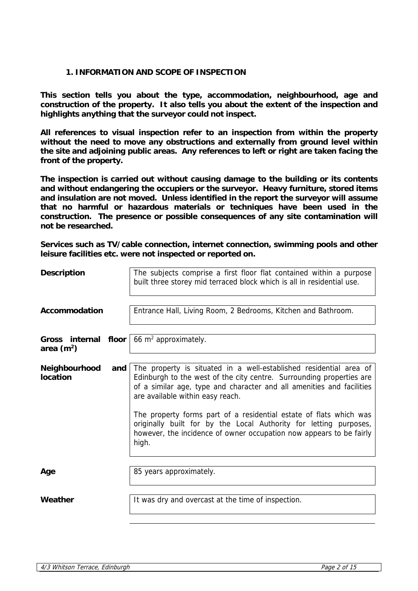# **1. INFORMATION AND SCOPE OF INSPECTION**

**This section tells you about the type, accommodation, neighbourhood, age and construction of the property. It also tells you about the extent of the inspection and highlights anything that the surveyor could not inspect.** 

**All references to visual inspection refer to an inspection from within the property without the need to move any obstructions and externally from ground level within the site and adjoining public areas. Any references to left or right are taken facing the front of the property.**

**The inspection is carried out without causing damage to the building or its contents and without endangering the occupiers or the surveyor. Heavy furniture, stored items and insulation are not moved. Unless identified in the report the surveyor will assume that no harmful or hazardous materials or techniques have been used in the construction. The presence or possible consequences of any site contamination will not be researched.**

**Services such as TV/cable connection, internet connection, swimming pools and other leisure facilities etc. were not inspected or reported on.**

| <b>Description</b>               |       | The subjects comprise a first floor flat contained within a purpose<br>built three storey mid terraced block which is all in residential use.                                                                                                                                                                                                                                                                                                                                      |
|----------------------------------|-------|------------------------------------------------------------------------------------------------------------------------------------------------------------------------------------------------------------------------------------------------------------------------------------------------------------------------------------------------------------------------------------------------------------------------------------------------------------------------------------|
| Accommodation                    |       | Entrance Hall, Living Room, 2 Bedrooms, Kitchen and Bathroom.                                                                                                                                                                                                                                                                                                                                                                                                                      |
| Gross internal<br>area $(m^2)$   | floor | 66 $m^2$ approximately.                                                                                                                                                                                                                                                                                                                                                                                                                                                            |
| Neighbourhood<br><b>location</b> | and   | The property is situated in a well-established residential area of<br>Edinburgh to the west of the city centre. Surrounding properties are<br>of a similar age, type and character and all amenities and facilities<br>are available within easy reach.<br>The property forms part of a residential estate of flats which was<br>originally built for by the Local Authority for letting purposes,<br>however, the incidence of owner occupation now appears to be fairly<br>high. |
| Age                              |       | 85 years approximately.                                                                                                                                                                                                                                                                                                                                                                                                                                                            |
| Weather                          |       | It was dry and overcast at the time of inspection.                                                                                                                                                                                                                                                                                                                                                                                                                                 |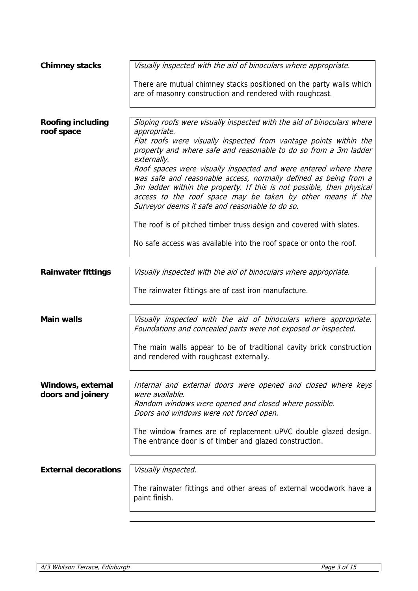| Visually inspected with the aid of binoculars where appropriate.                                                                                                                                                                                                                                                                |
|---------------------------------------------------------------------------------------------------------------------------------------------------------------------------------------------------------------------------------------------------------------------------------------------------------------------------------|
| There are mutual chimney stacks positioned on the party walls which<br>are of masonry construction and rendered with roughcast.                                                                                                                                                                                                 |
|                                                                                                                                                                                                                                                                                                                                 |
| Sloping roofs were visually inspected with the aid of binoculars where<br>appropriate.<br>Flat roofs were visually inspected from vantage points within the<br>property and where safe and reasonable to do so from a 3m ladder<br>externally.                                                                                  |
| Roof spaces were visually inspected and were entered where there<br>was safe and reasonable access, normally defined as being from a<br>3m ladder within the property. If this is not possible, then physical<br>access to the roof space may be taken by other means if the<br>Surveyor deems it safe and reasonable to do so. |
| The roof is of pitched timber truss design and covered with slates.                                                                                                                                                                                                                                                             |
| No safe access was available into the roof space or onto the roof.                                                                                                                                                                                                                                                              |
|                                                                                                                                                                                                                                                                                                                                 |
| Visually inspected with the aid of binoculars where appropriate.                                                                                                                                                                                                                                                                |
| The rainwater fittings are of cast iron manufacture.                                                                                                                                                                                                                                                                            |
| Visually inspected with the aid of binoculars where appropriate.<br>Foundations and concealed parts were not exposed or inspected.                                                                                                                                                                                              |
| The main walls appear to be of traditional cavity brick construction<br>and rendered with roughcast externally.                                                                                                                                                                                                                 |
|                                                                                                                                                                                                                                                                                                                                 |
| Internal and external doors were opened and closed where keys<br>were available.<br>Random windows were opened and closed where possible.<br>Doors and windows were not forced open.                                                                                                                                            |
| The window frames are of replacement uPVC double glazed design.<br>The entrance door is of timber and glazed construction.                                                                                                                                                                                                      |
|                                                                                                                                                                                                                                                                                                                                 |
| Visually inspected.                                                                                                                                                                                                                                                                                                             |
| The rainwater fittings and other areas of external woodwork have a<br>paint finish.                                                                                                                                                                                                                                             |
|                                                                                                                                                                                                                                                                                                                                 |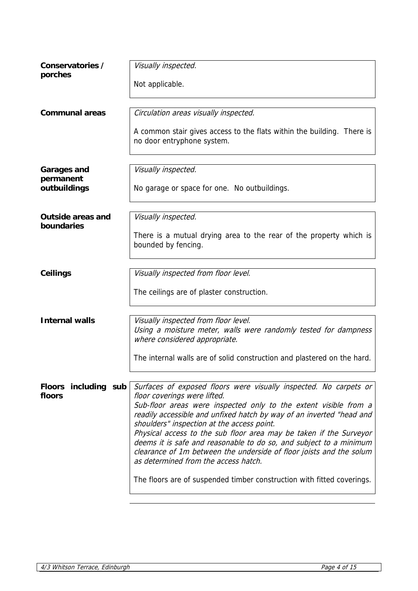| Conservatories /                       | Visually inspected.                                                                                                                                                                                                                                                                                                                                                                                                                                                                                                                                                                                                              |
|----------------------------------------|----------------------------------------------------------------------------------------------------------------------------------------------------------------------------------------------------------------------------------------------------------------------------------------------------------------------------------------------------------------------------------------------------------------------------------------------------------------------------------------------------------------------------------------------------------------------------------------------------------------------------------|
| porches                                | Not applicable.                                                                                                                                                                                                                                                                                                                                                                                                                                                                                                                                                                                                                  |
| <b>Communal areas</b>                  | Circulation areas visually inspected.                                                                                                                                                                                                                                                                                                                                                                                                                                                                                                                                                                                            |
|                                        | A common stair gives access to the flats within the building. There is<br>no door entryphone system.                                                                                                                                                                                                                                                                                                                                                                                                                                                                                                                             |
| <b>Garages and</b>                     | Visually inspected.                                                                                                                                                                                                                                                                                                                                                                                                                                                                                                                                                                                                              |
| permanent<br>outbuildings              | No garage or space for one. No outbuildings.                                                                                                                                                                                                                                                                                                                                                                                                                                                                                                                                                                                     |
| <b>Outside areas and</b><br>boundaries | Visually inspected.                                                                                                                                                                                                                                                                                                                                                                                                                                                                                                                                                                                                              |
|                                        | There is a mutual drying area to the rear of the property which is<br>bounded by fencing.                                                                                                                                                                                                                                                                                                                                                                                                                                                                                                                                        |
| Ceilings                               | Visually inspected from floor level.                                                                                                                                                                                                                                                                                                                                                                                                                                                                                                                                                                                             |
|                                        | The ceilings are of plaster construction.                                                                                                                                                                                                                                                                                                                                                                                                                                                                                                                                                                                        |
| <b>Internal walls</b>                  | Visually inspected from floor level.<br>Using a moisture meter, walls were randomly tested for dampness                                                                                                                                                                                                                                                                                                                                                                                                                                                                                                                          |
|                                        | where considered appropriate.                                                                                                                                                                                                                                                                                                                                                                                                                                                                                                                                                                                                    |
|                                        | The internal walls are of solid construction and plastered on the hard.                                                                                                                                                                                                                                                                                                                                                                                                                                                                                                                                                          |
| Floors including sub<br>floors         | Surfaces of exposed floors were visually inspected. No carpets or<br>floor coverings were lifted.<br>Sub-floor areas were inspected only to the extent visible from a<br>readily accessible and unfixed hatch by way of an inverted "head and<br>shoulders" inspection at the access point.<br>Physical access to the sub floor area may be taken if the Surveyor<br>deems it is safe and reasonable to do so, and subject to a minimum<br>clearance of 1m between the underside of floor joists and the solum<br>as determined from the access hatch.<br>The floors are of suspended timber construction with fitted coverings. |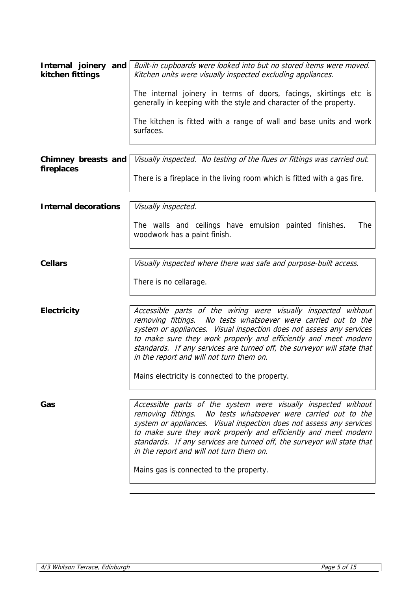| Internal joinery and<br>kitchen fittings | Built-in cupboards were looked into but no stored items were moved.<br>Kitchen units were visually inspected excluding appliances.                                                                                                                                                                                                                                                                                                            |
|------------------------------------------|-----------------------------------------------------------------------------------------------------------------------------------------------------------------------------------------------------------------------------------------------------------------------------------------------------------------------------------------------------------------------------------------------------------------------------------------------|
|                                          | The internal joinery in terms of doors, facings, skirtings etc is<br>generally in keeping with the style and character of the property.                                                                                                                                                                                                                                                                                                       |
|                                          | The kitchen is fitted with a range of wall and base units and work<br>surfaces.                                                                                                                                                                                                                                                                                                                                                               |
| Chimney breasts and<br>fireplaces        | Visually inspected. No testing of the flues or fittings was carried out.                                                                                                                                                                                                                                                                                                                                                                      |
|                                          | There is a fireplace in the living room which is fitted with a gas fire.                                                                                                                                                                                                                                                                                                                                                                      |
| <b>Internal decorations</b>              | Visually inspected.                                                                                                                                                                                                                                                                                                                                                                                                                           |
|                                          | The walls and ceilings have emulsion painted finishes.<br>The<br>woodwork has a paint finish.                                                                                                                                                                                                                                                                                                                                                 |
| <b>Cellars</b>                           | Visually inspected where there was safe and purpose-built access.                                                                                                                                                                                                                                                                                                                                                                             |
|                                          | There is no cellarage.                                                                                                                                                                                                                                                                                                                                                                                                                        |
| <b>Electricity</b>                       | Accessible parts of the wiring were visually inspected without<br>removing fittings. No tests whatsoever were carried out to the<br>system or appliances. Visual inspection does not assess any services<br>to make sure they work properly and efficiently and meet modern<br>standards. If any services are turned off, the surveyor will state that<br>in the report and will not turn them on.                                            |
|                                          | Mains electricity is connected to the property.                                                                                                                                                                                                                                                                                                                                                                                               |
| Gas                                      | Accessible parts of the system were visually inspected without<br>removing fittings. No tests whatsoever were carried out to the<br>system or appliances. Visual inspection does not assess any services<br>to make sure they work properly and efficiently and meet modern<br>standards. If any services are turned off, the surveyor will state that<br>in the report and will not turn them on.<br>Mains gas is connected to the property. |
|                                          |                                                                                                                                                                                                                                                                                                                                                                                                                                               |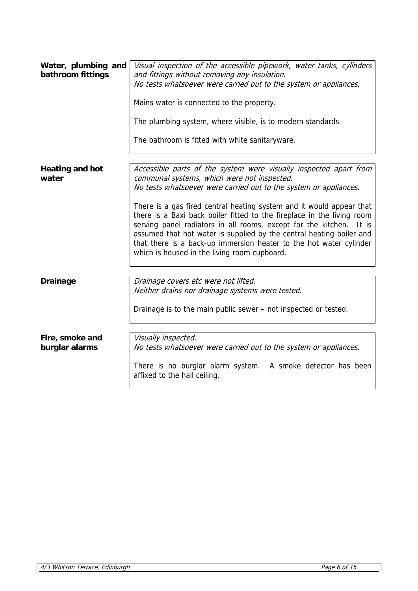| Water, plumbing and<br>bathroom fittings | Visual inspection of the accessible pipework, water tanks, cylinders<br>and fittings without removing any insulation.<br>No tests whatsoever were carried out to the system or appliances.<br>Mains water is connected to the property.<br>The plumbing system, where visible, is to modern standards.<br>The bathroom is fitted with white sanitaryware.                                                                                                                                                                                                                                                       |
|------------------------------------------|-----------------------------------------------------------------------------------------------------------------------------------------------------------------------------------------------------------------------------------------------------------------------------------------------------------------------------------------------------------------------------------------------------------------------------------------------------------------------------------------------------------------------------------------------------------------------------------------------------------------|
| <b>Heating and hot</b><br>water          | Accessible parts of the system were visually inspected apart from<br>communal systems, which were not inspected.<br>No tests whatsoever were carried out to the system or appliances.<br>There is a gas fired central heating system and it would appear that<br>there is a Baxi back boiler fitted to the fireplace in the living room<br>serving panel radiators in all rooms, except for the kitchen.<br>It is<br>assumed that hot water is supplied by the central heating boiler and<br>that there is a back-up immersion heater to the hot water cylinder<br>which is housed in the living room cupboard. |
| <b>Drainage</b>                          | Drainage covers etc were not lifted.<br>Neither drains nor drainage systems were tested.<br>Drainage is to the main public sewer – not inspected or tested.                                                                                                                                                                                                                                                                                                                                                                                                                                                     |
| Fire, smoke and<br>burglar alarms        | Visually inspected.<br>No tests whatsoever were carried out to the system or appliances.<br>There is no burglar alarm system. A smoke detector has been<br>affixed to the hall ceiling.                                                                                                                                                                                                                                                                                                                                                                                                                         |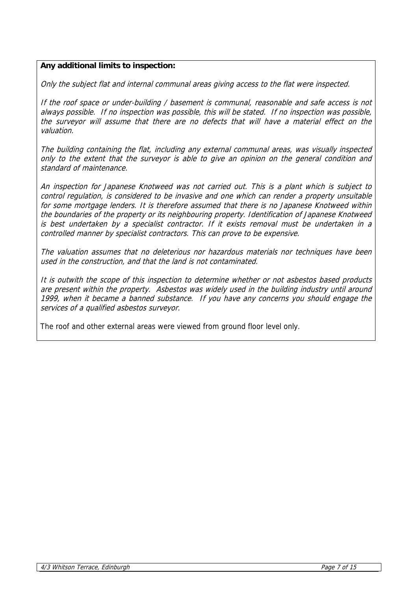# **Any additional limits to inspection:**

Only the subject flat and internal communal areas giving access to the flat were inspected.

If the roof space or under-building / basement is communal, reasonable and safe access is not always possible. If no inspection was possible, this will be stated. If no inspection was possible, the surveyor will assume that there are no defects that will have a material effect on the valuation.

The building containing the flat, including any external communal areas, was visually inspected only to the extent that the surveyor is able to give an opinion on the general condition and standard of maintenance.

An inspection for Japanese Knotweed was not carried out. This is a plant which is subject to control regulation, is considered to be invasive and one which can render a property unsuitable for some mortgage lenders. It is therefore assumed that there is no Japanese Knotweed within the boundaries of the property or its neighbouring property. Identification of Japanese Knotweed is best undertaken by a specialist contractor. If it exists removal must be undertaken in a controlled manner by specialist contractors. This can prove to be expensive.

The valuation assumes that no deleterious nor hazardous materials nor techniques have been used in the construction, and that the land is not contaminated.

It is outwith the scope of this inspection to determine whether or not asbestos based products are present within the property. Asbestos was widely used in the building industry until around 1999, when it became a banned substance. If you have any concerns you should engage the services of a qualified asbestos surveyor.

The roof and other external areas were viewed from ground floor level only.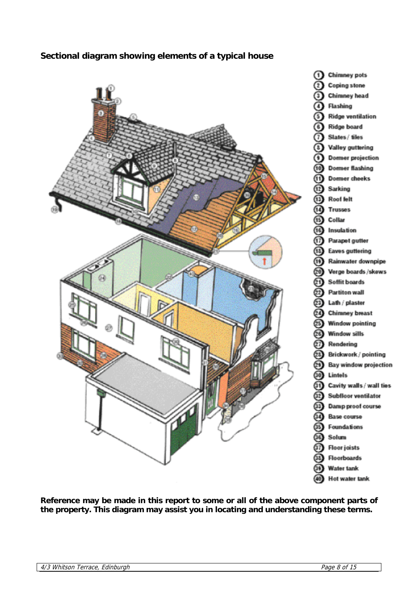# **Sectional diagram showing elements of a typical house**



**Reference may be made in this report to some or all of the above component parts of the property. This diagram may assist you in locating and understanding these terms.**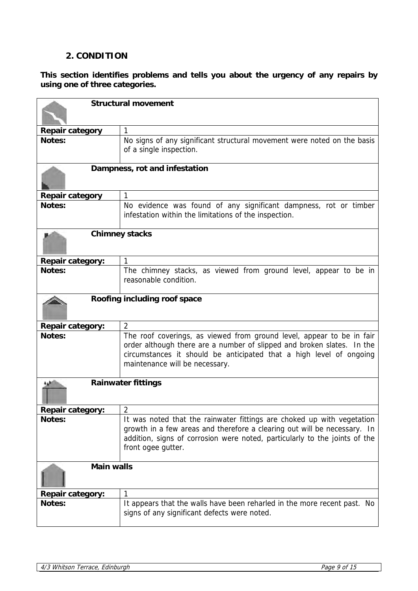# **2. CONDITION**

**This section identifies problems and tells you about the urgency of any repairs by using one of three categories.**

| <b>Structural movement</b> |                                                                                                                                                                                                                                                          |
|----------------------------|----------------------------------------------------------------------------------------------------------------------------------------------------------------------------------------------------------------------------------------------------------|
|                            |                                                                                                                                                                                                                                                          |
| Repair category            | 1                                                                                                                                                                                                                                                        |
| Notes:                     | No signs of any significant structural movement were noted on the basis<br>of a single inspection.                                                                                                                                                       |
|                            | Dampness, rot and infestation                                                                                                                                                                                                                            |
| <b>Repair category</b>     | 1                                                                                                                                                                                                                                                        |
| Notes:                     | No evidence was found of any significant dampness, rot or timber<br>infestation within the limitations of the inspection.                                                                                                                                |
|                            | <b>Chimney stacks</b>                                                                                                                                                                                                                                    |
| <b>Repair category:</b>    | 1                                                                                                                                                                                                                                                        |
| Notes:                     | The chimney stacks, as viewed from ground level, appear to be in<br>reasonable condition.                                                                                                                                                                |
|                            | Roofing including roof space                                                                                                                                                                                                                             |
| <b>Repair category:</b>    | $\overline{2}$                                                                                                                                                                                                                                           |
| Notes:                     | The roof coverings, as viewed from ground level, appear to be in fair<br>order although there are a number of slipped and broken slates. In the<br>circumstances it should be anticipated that a high level of ongoing<br>maintenance will be necessary. |
|                            | <b>Rainwater fittings</b>                                                                                                                                                                                                                                |
| <b>Repair category:</b>    | $\overline{2}$                                                                                                                                                                                                                                           |
| <b>Notes:</b>              | It was noted that the rainwater fittings are choked up with vegetation<br>growth in a few areas and therefore a clearing out will be necessary. In<br>addition, signs of corrosion were noted, particularly to the joints of the<br>front ogee gutter.   |
| <b>Main walls</b>          |                                                                                                                                                                                                                                                          |
| <b>Repair category:</b>    |                                                                                                                                                                                                                                                          |
| <b>Notes:</b>              | It appears that the walls have been reharled in the more recent past. No<br>signs of any significant defects were noted.                                                                                                                                 |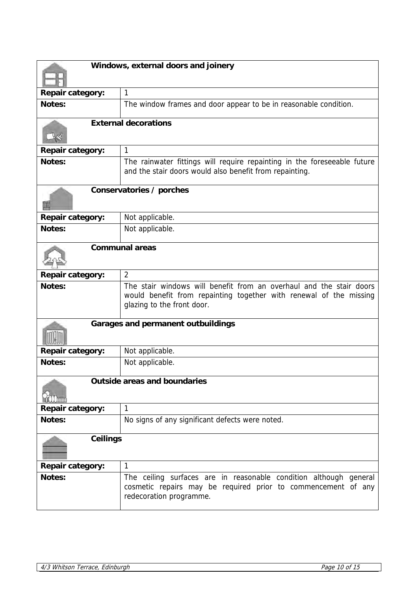| Windows, external doors and joinery |                                                                                                                                                                         |
|-------------------------------------|-------------------------------------------------------------------------------------------------------------------------------------------------------------------------|
| <b>Repair category:</b>             | $\mathbf{1}$                                                                                                                                                            |
| Notes:                              | The window frames and door appear to be in reasonable condition.                                                                                                        |
|                                     | <b>External decorations</b>                                                                                                                                             |
| <b>Repair category:</b>             | 1                                                                                                                                                                       |
| Notes:                              | The rainwater fittings will require repainting in the foreseeable future<br>and the stair doors would also benefit from repainting.                                     |
|                                     | Conservatories / porches                                                                                                                                                |
| <b>Repair category:</b>             | Not applicable.                                                                                                                                                         |
| Notes:                              | Not applicable.                                                                                                                                                         |
|                                     | <b>Communal areas</b>                                                                                                                                                   |
| <b>Repair category:</b>             | $\overline{2}$                                                                                                                                                          |
| Notes:                              | The stair windows will benefit from an overhaul and the stair doors<br>would benefit from repainting together with renewal of the missing<br>glazing to the front door. |
|                                     | Garages and permanent outbuildings                                                                                                                                      |
| Repair category:                    | Not applicable.                                                                                                                                                         |
| Notes:                              | Not applicable.                                                                                                                                                         |
| <b>Outside areas and boundaries</b> |                                                                                                                                                                         |
| <b>Repair category:</b>             | $\mathbf{1}$                                                                                                                                                            |
| Notes:                              | No signs of any significant defects were noted.                                                                                                                         |
| <b>Ceilings</b>                     |                                                                                                                                                                         |
| <b>Repair category:</b>             | 1                                                                                                                                                                       |
| Notes:                              | The ceiling surfaces are in reasonable condition although general<br>cosmetic repairs may be required prior to commencement of any<br>redecoration programme.           |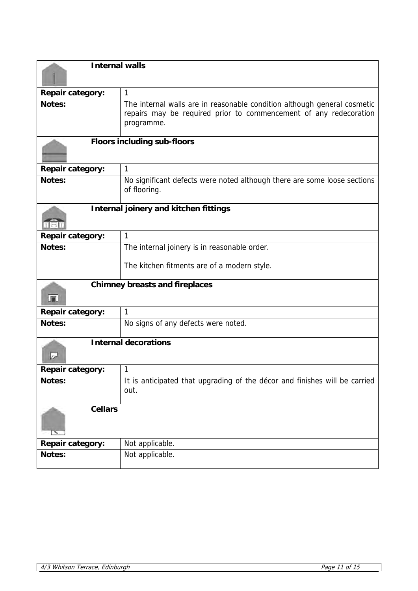| <b>Internal walls</b>              |                                                                                                                                                             |  |
|------------------------------------|-------------------------------------------------------------------------------------------------------------------------------------------------------------|--|
|                                    |                                                                                                                                                             |  |
| <b>Repair category:</b>            | $\mathbf{1}$                                                                                                                                                |  |
| Notes:                             | The internal walls are in reasonable condition although general cosmetic<br>repairs may be required prior to commencement of any redecoration<br>programme. |  |
| <b>Floors including sub-floors</b> |                                                                                                                                                             |  |
| <b>Repair category:</b>            | $\mathbf{1}$                                                                                                                                                |  |
| Notes:                             | No significant defects were noted although there are some loose sections<br>of flooring.                                                                    |  |
|                                    | Internal joinery and kitchen fittings                                                                                                                       |  |
| <b>Repair category:</b>            | $\mathbf{1}$                                                                                                                                                |  |
| Notes:                             | The internal joinery is in reasonable order.                                                                                                                |  |
|                                    | The kitchen fitments are of a modern style.                                                                                                                 |  |
| <b>In</b>                          | <b>Chimney breasts and fireplaces</b>                                                                                                                       |  |
| <b>Repair category:</b>            | $\mathbf{1}$                                                                                                                                                |  |
| Notes:                             | No signs of any defects were noted.                                                                                                                         |  |
| <b>Internal decorations</b>        |                                                                                                                                                             |  |
| <b>Repair category:</b>            | 1                                                                                                                                                           |  |
| Notes:                             | It is anticipated that upgrading of the décor and finishes will be carried                                                                                  |  |
|                                    | out.                                                                                                                                                        |  |
| <b>Cellars</b>                     |                                                                                                                                                             |  |
| <b>Repair category:</b>            | Not applicable.                                                                                                                                             |  |
| Notes:                             | Not applicable.                                                                                                                                             |  |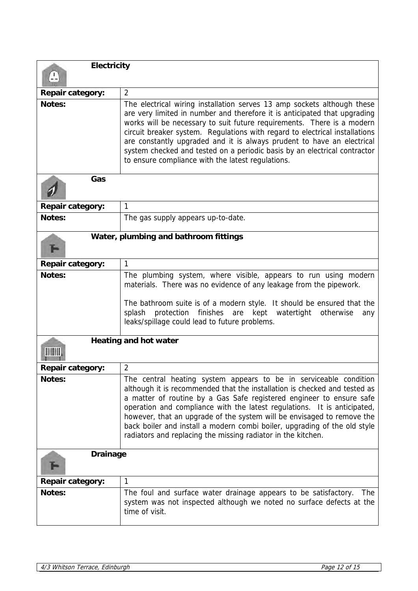| <b>Electricity</b>           |                                                                                                                                                                                                                                                                                                                                                                                                                                                                                                                           |  |
|------------------------------|---------------------------------------------------------------------------------------------------------------------------------------------------------------------------------------------------------------------------------------------------------------------------------------------------------------------------------------------------------------------------------------------------------------------------------------------------------------------------------------------------------------------------|--|
| <b>Repair category:</b>      | $\overline{2}$                                                                                                                                                                                                                                                                                                                                                                                                                                                                                                            |  |
| Notes:                       | The electrical wiring installation serves 13 amp sockets although these<br>are very limited in number and therefore it is anticipated that upgrading<br>works will be necessary to suit future requirements. There is a modern<br>circuit breaker system. Regulations with regard to electrical installations<br>are constantly upgraded and it is always prudent to have an electrical<br>system checked and tested on a periodic basis by an electrical contractor<br>to ensure compliance with the latest regulations. |  |
| Gas                          |                                                                                                                                                                                                                                                                                                                                                                                                                                                                                                                           |  |
| <b>Repair category:</b>      | 1                                                                                                                                                                                                                                                                                                                                                                                                                                                                                                                         |  |
| Notes:                       | The gas supply appears up-to-date.                                                                                                                                                                                                                                                                                                                                                                                                                                                                                        |  |
|                              | Water, plumbing and bathroom fittings                                                                                                                                                                                                                                                                                                                                                                                                                                                                                     |  |
| <b>Repair category:</b>      | 1                                                                                                                                                                                                                                                                                                                                                                                                                                                                                                                         |  |
| Notes:                       | The plumbing system, where visible, appears to run using modern<br>materials. There was no evidence of any leakage from the pipework.<br>The bathroom suite is of a modern style. It should be ensured that the<br>finishes are kept<br>protection<br>watertight<br>otherwise<br>splash<br>any<br>leaks/spillage could lead to future problems.                                                                                                                                                                           |  |
| <b>Heating and hot water</b> |                                                                                                                                                                                                                                                                                                                                                                                                                                                                                                                           |  |
| <b>Repair category:</b>      | $\overline{2}$                                                                                                                                                                                                                                                                                                                                                                                                                                                                                                            |  |
| Notes:                       | The central heating system appears to be in serviceable condition<br>although it is recommended that the installation is checked and tested as<br>a matter of routine by a Gas Safe registered engineer to ensure safe<br>operation and compliance with the latest regulations. It is anticipated,<br>however, that an upgrade of the system will be envisaged to remove the<br>back boiler and install a modern combi boiler, upgrading of the old style<br>radiators and replacing the missing radiator in the kitchen. |  |
| <b>Drainage</b>              |                                                                                                                                                                                                                                                                                                                                                                                                                                                                                                                           |  |
| <b>Repair category:</b>      | 1                                                                                                                                                                                                                                                                                                                                                                                                                                                                                                                         |  |
| Notes:                       | The foul and surface water drainage appears to be satisfactory.<br><b>The</b><br>system was not inspected although we noted no surface defects at the<br>time of visit.                                                                                                                                                                                                                                                                                                                                                   |  |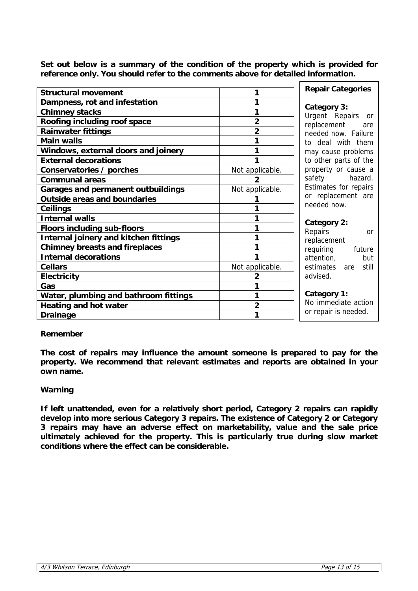**Set out below is a summary of the condition of the property which is provided for reference only. You should refer to the comments above for detailed information.**

| <b>Structural movement</b>                | 1               | <b>Repair Categories</b> |
|-------------------------------------------|-----------------|--------------------------|
| Dampness, rot and infestation             | 1               | Category 3:              |
| <b>Chimney stacks</b>                     | 1               | Urgent Repairs or        |
| Roofing including roof space              | $\overline{2}$  | replacement<br>are       |
| <b>Rainwater fittings</b>                 | $\overline{2}$  | needed now. Failure      |
| <b>Main walls</b>                         | 1               | to deal with them        |
| Windows, external doors and joinery       | 1               | may cause problems       |
| <b>External decorations</b>               | 1               | to other parts of the    |
| Conservatories / porches                  | Not applicable. | property or cause a      |
| <b>Communal areas</b>                     |                 | safety<br>hazard.        |
| <b>Garages and permanent outbuildings</b> | Not applicable. | Estimates for repairs    |
| <b>Outside areas and boundaries</b>       |                 | or replacement are       |
| <b>Ceilings</b>                           |                 | needed now.              |
| <b>Internal walls</b>                     | 1               | Category 2:              |
| <b>Floors including sub-floors</b>        | 1               | Repairs<br>or            |
| Internal joinery and kitchen fittings     | 1               | replacement              |
| <b>Chimney breasts and fireplaces</b>     |                 | requiring<br>future      |
| <b>Internal decorations</b>               |                 | attention,<br>but        |
| <b>Cellars</b>                            | Not applicable. | estimates<br>are still   |
| <b>Electricity</b>                        | $\overline{2}$  | advised.                 |
| Gas                                       | 1               |                          |
| Water, plumbing and bathroom fittings     | 1               | Category 1:              |
| <b>Heating and hot water</b>              | $\overline{2}$  | No immediate action      |
| <b>Drainage</b>                           | 1               | or repair is needed.     |
|                                           |                 |                          |

# **Remember**

**The cost of repairs may influence the amount someone is prepared to pay for the property. We recommend that relevant estimates and reports are obtained in your own name.**

# **Warning**

**If left unattended, even for a relatively short period, Category 2 repairs can rapidly develop into more serious Category 3 repairs. The existence of Category 2 or Category 3 repairs may have an adverse effect on marketability, value and the sale price ultimately achieved for the property. This is particularly true during slow market conditions where the effect can be considerable.**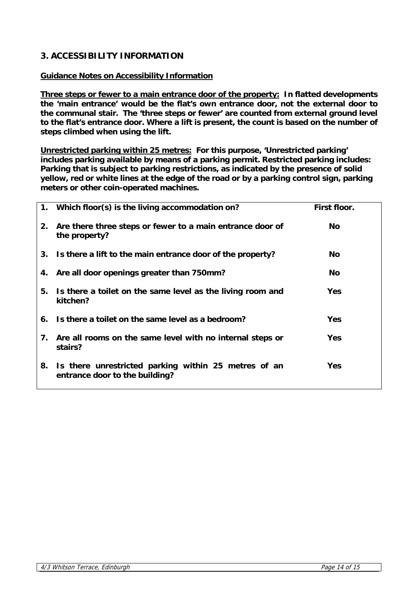# **3. ACCESSIBILITY INFORMATION**

# **Guidance Notes on Accessibility Information**

**Three steps or fewer to a main entrance door of the property: In flatted developments the 'main entrance' would be the flat's own entrance door, not the external door to the communal stair. The 'three steps or fewer' are counted from external ground level to the flat's entrance door. Where a lift is present, the count is based on the number of steps climbed when using the lift.** 

**Unrestricted parking within 25 metres: For this purpose, 'Unrestricted parking' includes parking available by means of a parking permit. Restricted parking includes: Parking that is subject to parking restrictions, as indicated by the presence of solid yellow, red or white lines at the edge of the road or by a parking control sign, parking meters or other coin-operated machines.**

|    | 1. Which floor(s) is the living accommodation on?                                      | First floor. |
|----|----------------------------------------------------------------------------------------|--------------|
| 2. | Are there three steps or fewer to a main entrance door of<br>the property?             | No.          |
|    | 3. Is there a lift to the main entrance door of the property?                          | No.          |
|    | 4. Are all door openings greater than 750mm?                                           | <b>No</b>    |
| 5. | Is there a toilet on the same level as the living room and<br>kitchen?                 | <b>Yes</b>   |
|    | 6. Is there a toilet on the same level as a bedroom?                                   | <b>Yes</b>   |
| 7. | Are all rooms on the same level with no internal steps or<br>stairs?                   | <b>Yes</b>   |
| 8. | Is there unrestricted parking within 25 metres of an<br>entrance door to the building? | <b>Yes</b>   |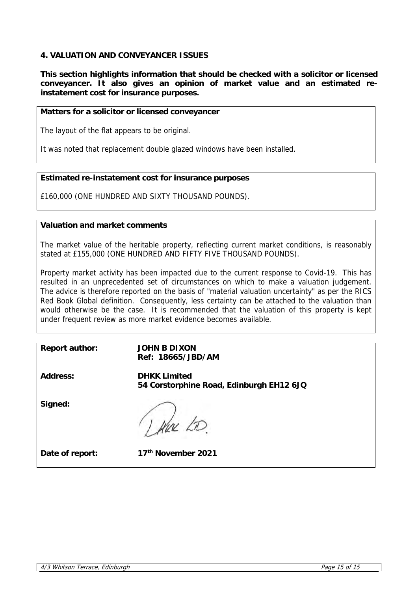# **4. VALUATION AND CONVEYANCER ISSUES**

**This section highlights information that should be checked with a solicitor or licensed conveyancer. It also gives an opinion of market value and an estimated reinstatement cost for insurance purposes.** 

# **Matters for a solicitor or licensed conveyancer**

The layout of the flat appears to be original.

It was noted that replacement double glazed windows have been installed.

# **Estimated re-instatement cost for insurance purposes**

£160,000 (ONE HUNDRED AND SIXTY THOUSAND POUNDS).

# **Valuation and market comments**

The market value of the heritable property, reflecting current market conditions, is reasonably stated at £155,000 (ONE HUNDRED AND FIFTY FIVE THOUSAND POUNDS).

Property market activity has been impacted due to the current response to Covid-19. This has resulted in an unprecedented set of circumstances on which to make a valuation judgement. The advice is therefore reported on the basis of "material valuation uncertainty" as per the RICS Red Book Global definition. Consequently, less certainty can be attached to the valuation than would otherwise be the case. It is recommended that the valuation of this property is kept under frequent review as more market evidence becomes available.

**Report author: JOHN B DIXON Ref: 18665/JBD/AM**

**Address: DHKK Limited 54 Corstorphine Road, Edinburgh EH12 6JQ**

**Signed:**

I there LD.

**Date of report:** 1

| 17 <sup>th</sup> November 2021 |  |
|--------------------------------|--|
|--------------------------------|--|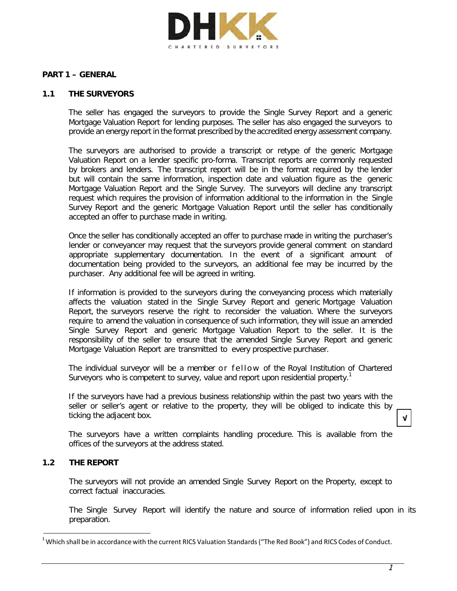

### **PART 1 – GENERAL**

### **1.1 THE SURVEYORS**

The seller has engaged the surveyors to provide the Single Survey Report and a generic Mortgage Valuation Report for lending purposes. The seller has also engaged the surveyors to provide an energy report in the format prescribed by the accredited energy assessment company.

The surveyors are authorised to provide a transcript or retype of the generic Mortgage Valuation Report on a lender specific pro-forma. Transcript reports are commonly requested by brokers and lenders. The transcript report will be in the format required by the lender but will contain the same information, inspection date and valuation figure as the generic Mortgage Valuation Report and the Single Survey. The surveyors will decline any transcript request which requires the provision of information additional to the information in the Single Survey Report and the generic Mortgage Valuation Report until the seller has conditionally accepted an offer to purchase made in writing.

Once the seller has conditionally accepted an offer to purchase made in writing the purchaser's lender or conveyancer may request that the surveyors provide general comment on standard appropriate supplementary documentation. In the event of a significant amount of documentation being provided to the surveyors, an additional fee may be incurred by the purchaser. Any additional fee will be agreed in writing.

If information is provided to the surveyors during the conveyancing process which materially affects the valuation stated in the Single Survey Report and generic Mortgage Valuation Report, the surveyors reserve the right to reconsider the valuation. Where the surveyors require to amend the valuation in consequence of such information, they will issue an amended Single Survey Report and generic Mortgage Valuation Report to the seller. It is the responsibility of the seller to ensure that the amended Single Survey Report and generic Mortgage Valuation Report are transmitted to every prospective purchaser.

The individual surveyor will be a member or fellow of the Royal Institution of Chartered Surveyors who is competent to survey, value and report upon residential property.<sup>1</sup>

If the surveyors have had a previous business relationship within the past two years with the seller or seller's agent or relative to the property, they will be obliged to indicate this by ticking the adjacent box.

The surveyors have a written complaints handling procedure. This is available from the offices of the surveyors at the address stated.

### **1.2 THE REPORT**

The surveyors will not provide an amended Single Survey Report on the Property, except to correct factual inaccuracies.

The Single Survey Report will identify the nature and source of information relied upon in its preparation.

**√**

 $^1$  Which shall be in accordance with the current RICS Valuation Standards ("The Red Book") and RICS Codes of Conduct.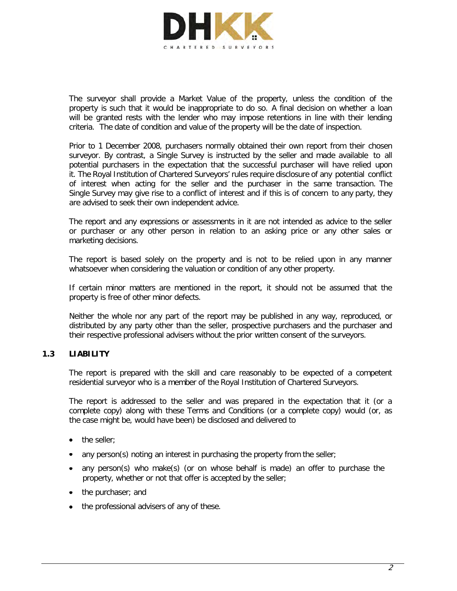

The surveyor shall provide a Market Value of the property, unless the condition of the property is such that it would be inappropriate to do so. A final decision on whether a loan will be granted rests with the lender who may impose retentions in line with their lending criteria. The date of condition and value of the property will be the date of inspection.

Prior to 1 December 2008, purchasers normally obtained their own report from their chosen surveyor. By contrast, a Single Survey is instructed by the seller and made available to all potential purchasers in the expectation that the successful purchaser will have relied upon it. The Royal Institution of Chartered Surveyors' rules require disclosure of any potential conflict of interest when acting for the seller and the purchaser in the same transaction. The Single Survey may give rise to a conflict of interest and if this is of concern to any party, they are advised to seek their own independent advice.

The report and any expressions or assessments in it are not intended as advice to the seller or purchaser or any other person in relation to an asking price or any other sales or marketing decisions.

The report is based solely on the property and is not to be relied upon in any manner whatsoever when considering the valuation or condition of any other property.

If certain minor matters are mentioned in the report, it should not be assumed that the property is free of other minor defects.

Neither the whole nor any part of the report may be published in any way, reproduced, or distributed by any party other than the seller, prospective purchasers and the purchaser and their respective professional advisers without the prior written consent of the surveyors.

# **1.3 LIABILITY**

The report is prepared with the skill and care reasonably to be expected of a competent residential surveyor who is a member of the Royal Institution of Chartered Surveyors.

The report is addressed to the seller and was prepared in the expectation that it (or a complete copy) along with these Terms and Conditions (or a complete copy) would (or, as the case might be, would have been) be disclosed and delivered to

- the seller:
- any person(s) noting an interest in purchasing the property from the seller;
- any person(s) who make(s) (or on whose behalf is made) an offer to purchase the property, whether or not that offer is accepted by the seller;
- the purchaser; and
- the professional advisers of any of these.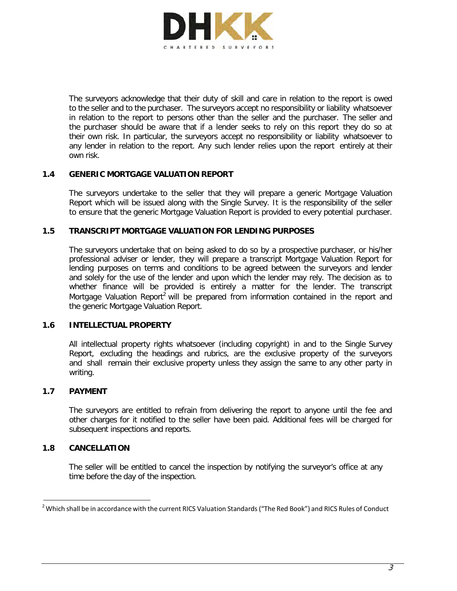

The surveyors acknowledge that their duty of skill and care in relation to the report is owed to the seller and to the purchaser. The surveyors accept no responsibility or liability whatsoever in relation to the report to persons other than the seller and the purchaser. The seller and the purchaser should be aware that if a lender seeks to rely on this report they do so at their own risk. In particular, the surveyors accept no responsibility or liability whatsoever to any lender in relation to the report. Any such lender relies upon the report entirely at their own risk.

### **1.4 GENERIC MORTGAGE VALUATION REPORT**

The surveyors undertake to the seller that they will prepare a generic Mortgage Valuation Report which will be issued along with the Single Survey. It is the responsibility of the seller to ensure that the generic Mortgage Valuation Report is provided to every potential purchaser.

### **1.5 TRANSCRIPT MORTGAGE VALUATION FOR LENDING PURPOSES**

The surveyors undertake that on being asked to do so by a prospective purchaser, or his/her professional adviser or lender, they will prepare a transcript Mortgage Valuation Report for lending purposes on terms and conditions to be agreed between the surveyors and lender and solely for the use of the lender and upon which the lender may rely. The decision as to whether finance will be provided is entirely a matter for the lender. The transcript Mortgage Valuation Report<sup>2</sup> will be prepared from information contained in the report and the generic Mortgage Valuation Report.

### **1.6 INTELLECTUAL PROPERTY**

All intellectual property rights whatsoever (including copyright) in and to the Single Survey Report, excluding the headings and rubrics, are the exclusive property of the surveyors and shall remain their exclusive property unless they assign the same to any other party in writing.

### **1.7 PAYMENT**

The surveyors are entitled to refrain from delivering the report to anyone until the fee and other charges for it notified to the seller have been paid. Additional fees will be charged for subsequent inspections and reports.

### **1.8 CANCELLATION**

The seller will be entitled to cancel the inspection by notifying the surveyor's office at any time before the day of the inspection.

 $^2$  Which shall be in accordance with the current RICS Valuation Standards ("The Red Book") and RICS Rules of Conduct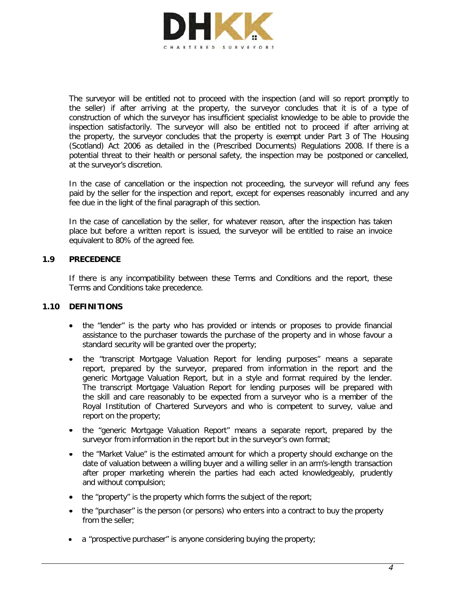

The surveyor will be entitled not to proceed with the inspection (and will so report promptly to the seller) if after arriving at the property, the surveyor concludes that it is of a type of construction of which the surveyor has insufficient specialist knowledge to be able to provide the inspection satisfactorily. The surveyor will also be entitled not to proceed if after arriving at the property, the surveyor concludes that the property is exempt under Part 3 of The Housing (Scotland) Act 2006 as detailed in the (Prescribed Documents) Regulations 2008. If there is a potential threat to their health or personal safety, the inspection may be postponed or cancelled, at the surveyor's discretion.

In the case of cancellation or the inspection not proceeding, the surveyor will refund any fees paid by the seller for the inspection and report, except for expenses reasonably incurred and any fee due in the light of the final paragraph of this section.

In the case of cancellation by the seller, for whatever reason, after the inspection has taken place but before a written report is issued, the surveyor will be entitled to raise an invoice equivalent to 80% of the agreed fee.

# **1.9 PRECEDENCE**

If there is any incompatibility between these Terms and Conditions and the report, these Terms and Conditions take precedence.

### **1.10 DEFINITIONS**

- the "lender" is the party who has provided or intends or proposes to provide financial assistance to the purchaser towards the purchase of the property and in whose favour a standard security will be granted over the property;
- the "transcript Mortgage Valuation Report for lending purposes" means a separate report, prepared by the surveyor, prepared from information in the report and the generic Mortgage Valuation Report, but in a style and format required by the lender. The transcript Mortgage Valuation Report for lending purposes will be prepared with the skill and care reasonably to be expected from a surveyor who is a member of the Royal Institution of Chartered Surveyors and who is competent to survey, value and report on the property;
- the "generic Mortgage Valuation Report" means a separate report, prepared by the surveyor from information in the report but in the surveyor's own format;
- the "Market Value" is the estimated amount for which a property should exchange on the date of valuation between a willing buyer and a willing seller in an arm's-length transaction after proper marketing wherein the parties had each acted knowledgeably, prudently and without compulsion;
- the "property" is the property which forms the subject of the report;
- the "purchaser" is the person (or persons) who enters into a contract to buy the property from the seller;
- $\bullet$  a "prospective purchaser" is anyone considering buying the property;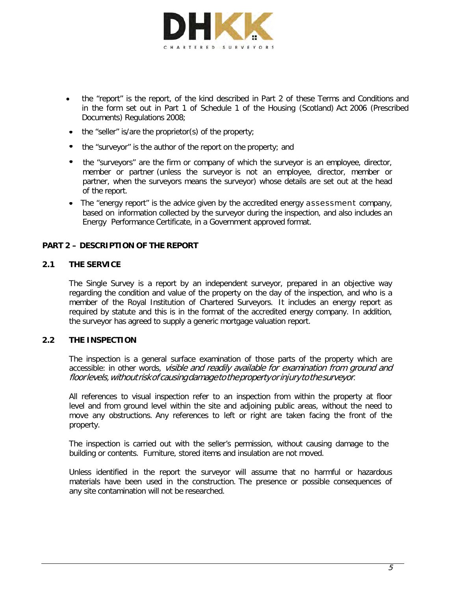

- the "report" is the report, of the kind described in Part 2 of these Terms and Conditions and in the form set out in Part 1 of Schedule 1 of the Housing (Scotland) Act 2006 (Prescribed Documents) Regulations 2008;
- the "seller" is/are the proprietor(s) of the property;
- the "surveyor" is the author of the report on the property; and
- the "surveyors" are the firm or company of which the surveyor is an employee, director, member or partner (unless the surveyor is not an employee, director, member or partner, when the surveyors means the surveyor) whose details are set out at the head of the report.
- The "energy report" is the advice given by the accredited energy assessment company, based on information collected by the surveyor during the inspection, and also includes an Energy Performance Certificate, in a Government approved format.

# **PART 2 – DESCRIPTION OF THE REPORT**

### **2.1 THE SERVICE**

The Single Survey is a report by an independent surveyor, prepared in an objective way regarding the condition and value of the property on the day of the inspection, and who is a member of the Royal Institution of Chartered Surveyors. It includes an energy report as required by statute and this is in the format of the accredited energy company. In addition, the surveyor has agreed to supply a generic mortgage valuation report.

### **2.2 THE INSPECTION**

The inspection is a general surface examination of those parts of the property which are accessible: in other words, visible and readily available for examination from ground and floor levels, without risk of causing damage to the property or injury to the surveyor.

All references to visual inspection refer to an inspection from within the property at floor level and from ground level within the site and adjoining public areas, without the need to move any obstructions. Any references to left or right are taken facing the front of the property.

The inspection is carried out with the seller's permission, without causing damage to the building or contents. Furniture, stored items and insulation are not moved.

Unless identified in the report the surveyor will assume that no harmful or hazardous materials have been used in the construction. The presence or possible consequences of any site contamination will not be researched.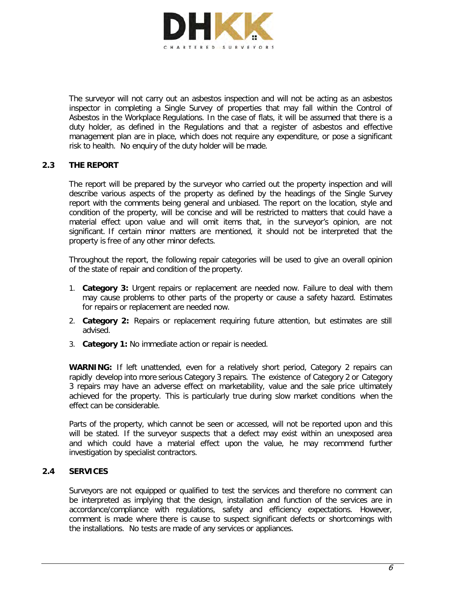

The surveyor will not carry out an asbestos inspection and will not be acting as an asbestos inspector in completing a Single Survey of properties that may fall within the Control of Asbestos in the Workplace Regulations. In the case of flats, it will be assumed that there is a duty holder, as defined in the Regulations and that a register of asbestos and effective management plan are in place, which does not require any expenditure, or pose a significant risk to health. No enquiry of the duty holder will be made.

# **2.3 THE REPORT**

The report will be prepared by the surveyor who carried out the property inspection and will describe various aspects of the property as defined by the headings of the Single Survey report with the comments being general and unbiased. The report on the location, style and condition of the property, will be concise and will be restricted to matters that could have a material effect upon value and will omit items that, in the surveyor's opinion, are not significant. If certain minor matters are mentioned, it should not be interpreted that the property is free of any other minor defects.

Throughout the report, the following repair categories will be used to give an overall opinion of the state of repair and condition of the property.

- 1. **Category 3:** Urgent repairs or replacement are needed now. Failure to deal with them may cause problems to other parts of the property or cause a safety hazard. Estimates for repairs or replacement are needed now.
- 2. **Category 2:** Repairs or replacement requiring future attention, but estimates are still advised.
- 3. **Category 1:** No immediate action or repair is needed.

**WARNING:** If left unattended, even for a relatively short period, Category 2 repairs can rapidly develop into more serious Category 3 repairs. The existence of Category 2 or Category 3 repairs may have an adverse effect on marketability, value and the sale price ultimately achieved for the property. This is particularly true during slow market conditions when the effect can be considerable.

Parts of the property, which cannot be seen or accessed, will not be reported upon and this will be stated. If the surveyor suspects that a defect may exist within an unexposed area and which could have a material effect upon the value, he may recommend further investigation by specialist contractors.

### **2.4 SERVICES**

Surveyors are not equipped or qualified to test the services and therefore no comment can be interpreted as implying that the design, installation and function of the services are in accordance/compliance with regulations, safety and efficiency expectations. However, comment is made where there is cause to suspect significant defects or shortcomings with the installations. No tests are made of any services or appliances.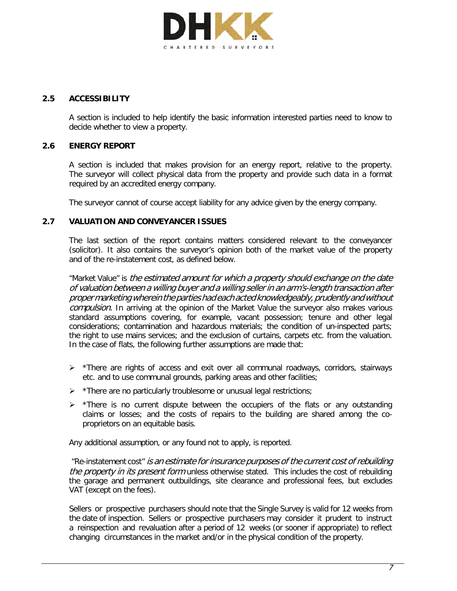

# **2.5 ACCESSIBILITY**

A section is included to help identify the basic information interested parties need to know to decide whether to view a property.

### **2.6 ENERGY REPORT**

A section is included that makes provision for an energy report, relative to the property. The surveyor will collect physical data from the property and provide such data in a format required by an accredited energy company.

The surveyor cannot of course accept liability for any advice given by the energy company.

# **2.7 VALUATION AND CONVEYANCER ISSUES**

The last section of the report contains matters considered relevant to the conveyancer (solicitor). It also contains the surveyor's opinion both of the market value of the property and of the re-instatement cost, as defined below.

"Market Value" is the estimated amount for which a property should exchange on the date of valuation between a willing buyer and a willing seller in an arm's-length transaction after propermarketingwherein thepartieshadeachacted knowledgeably,prudentlyandwithout compulsion. In arriving at the opinion of the Market Value the surveyor also makes various standard assumptions covering, for example, vacant possession; tenure and other legal considerations; contamination and hazardous materials; the condition of un-inspected parts; the right to use mains services; and the exclusion of curtains, carpets etc. from the valuation. In the case of flats, the following further assumptions are made that:

- $\triangleright$  \*There are rights of access and exit over all communal roadways, corridors, stairways etc. and to use communal grounds, parking areas and other facilities;
- $\triangleright$  \*There are no particularly troublesome or unusual legal restrictions;
- $\triangleright$  \*There is no current dispute between the occupiers of the flats or any outstanding claims or losses; and the costs of repairs to the building are shared among the coproprietors on an equitable basis.

Any additional assumption, or any found not to apply, is reported.

"Re-instatement cost" is an estimate for insurance purposes of the current cost of rebuilding the property in its present form unless otherwise stated. This includes the cost of rebuilding the garage and permanent outbuildings, site clearance and professional fees, but excludes VAT (except on the fees).

Sellers or prospective purchasers should note that the Single Survey is valid for 12 weeks from the date of inspection. Sellers or prospective purchasers may consider it prudent to instruct a reinspection and revaluation after a period of 12 weeks (or sooner if appropriate) to reflect changing circumstances in the market and/or in the physical condition of the property.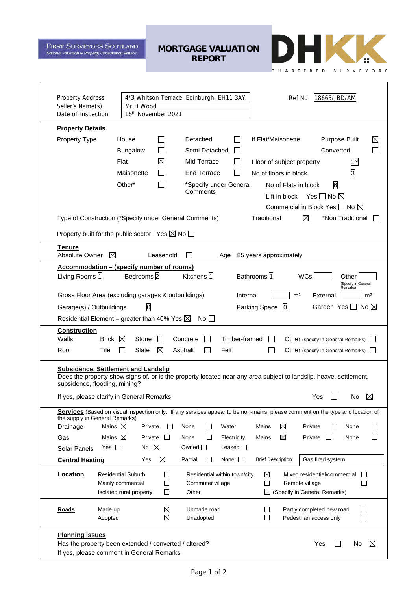**FIRST SURVEYORS SCOTLAND** National Valuation & Property Consultancy Service

**MORTGAGE VALUATION REPORT**



 $\overline{\phantom{a}}$ 

| <b>Property Address</b><br>Seller's Name(s)<br>Date of Inspection                                                                                                                                                                                                                   | 18665/JBD/AM<br>4/3 Whitson Terrace, Edinburgh, EH11 3AY<br>Ref No<br>Mr D Wood<br>16th November 2021                                                                                                                                                                                                                                                                                                                     |  |  |
|-------------------------------------------------------------------------------------------------------------------------------------------------------------------------------------------------------------------------------------------------------------------------------------|---------------------------------------------------------------------------------------------------------------------------------------------------------------------------------------------------------------------------------------------------------------------------------------------------------------------------------------------------------------------------------------------------------------------------|--|--|
| <b>Property Details</b>                                                                                                                                                                                                                                                             |                                                                                                                                                                                                                                                                                                                                                                                                                           |  |  |
| Property Type                                                                                                                                                                                                                                                                       | Detached<br>If Flat/Maisonette<br><b>Purpose Built</b><br>⊠<br>House<br>Semi Detached<br><b>Bungalow</b><br>Converted<br>Flat<br>Mid Terrace<br>1 <sup>st</sup><br>$\boxtimes$<br>Floor of subject property<br>β<br><b>End Terrace</b><br>Maisonette<br>No of floors in block<br>Other*<br>6<br>$\mathsf{L}$<br>*Specify under General<br>No of Flats in block<br>Comments<br>Lift in block<br>Yes $\square$ No $\square$ |  |  |
|                                                                                                                                                                                                                                                                                     | Commercial in Block Yes $\Box$ No $\boxtimes$<br>Traditional<br>⊠<br>*Non Traditional<br>Type of Construction (*Specify under General Comments)<br>Property built for the public sector. Yes $\boxtimes$ No $\Box$                                                                                                                                                                                                        |  |  |
| <b>Tenure</b><br>Absolute Owner                                                                                                                                                                                                                                                     | ⊠<br>Leasehold<br>85 years approximately<br>Age                                                                                                                                                                                                                                                                                                                                                                           |  |  |
| Living Rooms <sup>1</sup>                                                                                                                                                                                                                                                           | <b>Accommodation - (specify number of rooms)</b><br>Kitchens $\sqrt{1}$<br>Bedrooms <sup>2</sup><br>Bathrooms 1<br><b>WCs</b><br>Other<br>(Specify in General                                                                                                                                                                                                                                                             |  |  |
|                                                                                                                                                                                                                                                                                     | Remarks)<br>Gross Floor Area (excluding garages & outbuildings)<br>m <sup>2</sup><br>Internal<br>External<br>m <sup>2</sup>                                                                                                                                                                                                                                                                                               |  |  |
| Garage(s) / Outbuildings                                                                                                                                                                                                                                                            | $\overline{0}$<br>Parking Space 0<br>Garden Yes $\Box$<br>No $\boxtimes$                                                                                                                                                                                                                                                                                                                                                  |  |  |
|                                                                                                                                                                                                                                                                                     | Residential Element – greater than 40% Yes $\boxtimes$<br>$No$ $\Box$                                                                                                                                                                                                                                                                                                                                                     |  |  |
| <b>Construction</b><br>Walls<br>Roof<br>Tile                                                                                                                                                                                                                                        | Brick $\boxtimes$<br>Timber-framed<br>Stone<br>Concrete<br>Other (specify in General Remarks)<br>$\boxtimes$<br>Slate<br>Asphalt<br>h.<br>l 1<br>Felt<br>∐<br>Other (specify in General Remarks)                                                                                                                                                                                                                          |  |  |
| <b>Subsidence, Settlement and Landslip</b><br>Does the property show signs of, or is the property located near any area subject to landslip, heave, settlement,<br>subsidence, flooding, mining?<br>Yes $\square$<br>If yes, please clarify in General Remarks<br>$\boxtimes$<br>No |                                                                                                                                                                                                                                                                                                                                                                                                                           |  |  |
| the supply in General Remarks)                                                                                                                                                                                                                                                      | Services (Based on visual inspection only. If any services appear to be non-mains, please comment on the type and location of                                                                                                                                                                                                                                                                                             |  |  |
| Drainage                                                                                                                                                                                                                                                                            | Mains $\boxtimes$<br>Private<br>Private<br>None<br>П<br>Water<br>Mains<br>⊠<br>None<br>$\perp$<br>ΙI                                                                                                                                                                                                                                                                                                                      |  |  |
| Gas                                                                                                                                                                                                                                                                                 | Mains $\boxtimes$<br>Mains<br>⊠<br>Private $\square$<br>Private<br>None<br>$\perp$<br>Electricity<br>None<br>$\sqcup$<br>$\mathbf{L}$                                                                                                                                                                                                                                                                                     |  |  |
| Solar Panels                                                                                                                                                                                                                                                                        | $\boxtimes$<br>Yes $\Box$<br>No<br>Owned $\Box$<br>Leased $\Box$                                                                                                                                                                                                                                                                                                                                                          |  |  |
| <b>Central Heating</b>                                                                                                                                                                                                                                                              | ⊠<br>None $\square$<br><b>Brief Description</b><br>Partial<br>П<br>Gas fired system.<br>Yes                                                                                                                                                                                                                                                                                                                               |  |  |
| <b>Location</b>                                                                                                                                                                                                                                                                     | <b>Residential Suburb</b><br>$\Box$<br>⊠<br>Mixed residential/commercial<br>Residential within town/city<br>$\Box$<br>Mainly commercial<br>□<br>Commuter village<br>Remote village<br>П<br>$\Box$<br>Isolated rural property<br>□<br>(Specify in General Remarks)<br>Other<br>$\Box$                                                                                                                                      |  |  |
| <b>Roads</b><br>Made up<br>Adopted                                                                                                                                                                                                                                                  | X<br>Unmade road<br>Partly completed new road<br>$\Box$<br>$\mathbf{I}$<br>$\boxtimes$<br>Pedestrian access only<br>$\Box$<br>Unadopted<br><b>I</b>                                                                                                                                                                                                                                                                       |  |  |
| <b>Planning issues</b>                                                                                                                                                                                                                                                              | Has the property been extended / converted / altered?<br>Yes<br>$\boxtimes$<br>No<br>If yes, please comment in General Remarks                                                                                                                                                                                                                                                                                            |  |  |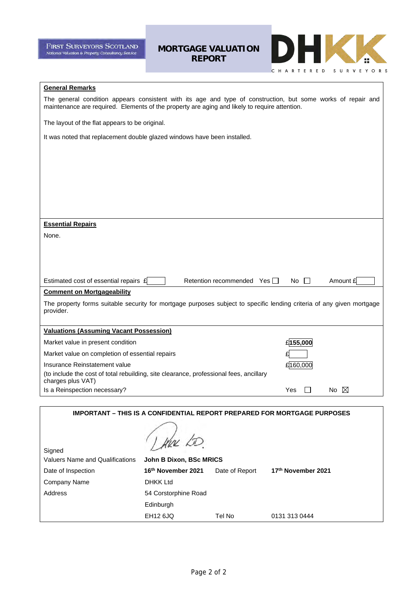**FIRST SURVEYORS SCOTLAND** National Valuation & Property Consultancy Service

**MORTGAGE VALUATION REPORT**



### **General Remarks**

The general condition appears consistent with its age and type of construction, but some works of repair and maintenance are required. Elements of the property are aging and likely to require attention.

The layout of the flat appears to be original.

It was noted that replacement double glazed windows have been installed.

| <b>Essential Repairs</b>                                                                                              |               |          |
|-----------------------------------------------------------------------------------------------------------------------|---------------|----------|
| None.                                                                                                                 |               |          |
|                                                                                                                       |               |          |
|                                                                                                                       |               |          |
|                                                                                                                       |               |          |
| Estimated cost of essential repairs £<br>Retention recommended Yes                                                    | No.<br>$\Box$ | Amount £ |
| <b>Comment on Mortgageability</b>                                                                                     |               |          |
| The property forms suitable security for mortgage purposes subject to specific lending criteria of any given mortgage |               |          |
| provider.                                                                                                             |               |          |
| <b>Valuations (Assuming Vacant Possession)</b>                                                                        |               |          |
| Market value in present condition                                                                                     | £155,000      |          |
| Market value on completion of essential repairs                                                                       |               |          |
| Insurance Reinstatement value                                                                                         | £160,000      |          |
| (to include the cost of total rebuilding, site clearance, professional fees, ancillary<br>charges plus VAT)           |               |          |
| Is a Reinspection necessary?                                                                                          | Yes           | M<br>No. |
|                                                                                                                       |               |          |

| <b>IMPORTANT – THIS IS A CONFIDENTIAL REPORT PREPARED FOR MORTGAGE PURPOSES</b> |                         |                |                    |  |
|---------------------------------------------------------------------------------|-------------------------|----------------|--------------------|--|
| Signed                                                                          |                         |                |                    |  |
| <b>Valuers Name and Qualifications</b>                                          | John B Dixon, BSc MRICS |                |                    |  |
| Date of Inspection                                                              | 16th November 2021      | Date of Report | 17th November 2021 |  |
| Company Name                                                                    | <b>DHKK Ltd</b>         |                |                    |  |
| Address                                                                         | 54 Corstorphine Road    |                |                    |  |
|                                                                                 | Edinburgh               |                |                    |  |
|                                                                                 | <b>EH12 6JQ</b>         | Tel No         | 0131 313 0444      |  |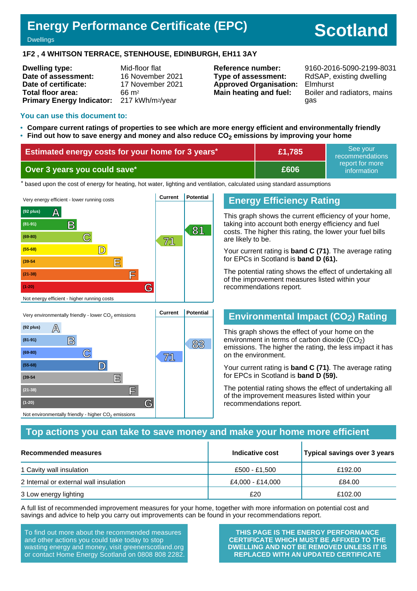# **Energy Performance Certificate (EPC)**

# **Scotland**

#### **Dwellings**

### **1F2 , 4 WHITSON TERRACE, STENHOUSE, EDINBURGH, EH11 3AY**

| <b>Dwelling type:</b>            | Mid-floor flat               |
|----------------------------------|------------------------------|
| Date of assessment:              | 16 November 2021             |
| Date of certificate:             | 17 November 2021             |
| Total floor area:                | $66 \text{ m}^2$             |
| <b>Primary Energy Indicator:</b> | 217 kWh/m <sup>2</sup> /year |

**Type of assessment:** RdSAP, existing dwelling **Approved Organisation:** Elmhurst

**Reference number:** 9160-2016-5090-2199-8031 **Main heating and fuel:** Boiler and radiators, mains gas

### **You can use this document to:**

**(39-54 E**

**(21-38) F**

Not environmentally friendly - higher  $\mathsf{CO}_2$  emissions

**(1-20) G**

- **Compare current ratings of properties to see which are more energy efficient and environmentally friendly**
- **Find out how to save energy and money and also reduce CO2 emissions by improving your home**

| <b>Estimated energy costs for your home for 3 years</b> * | £1,785      | See vour<br>recommendations    |
|-----------------------------------------------------------|-------------|--------------------------------|
| Over 3 years you could save*                              | <b>£606</b> | report for more<br>information |

the based upon the cost of energy for heating, hot water, lighting and ventilation, calculated using standard assumptions



# **Energy Efficiency Rating**

This graph shows the current efficiency of your home, taking into account both energy efficiency and fuel costs. The higher this rating, the lower your fuel bills are likely to be.

Your current rating is **band C (71)**. The average rating for EPCs in Scotland is **band D (61).**

The potential rating shows the effect of undertaking all of the improvement measures listed within your recommendations report.

# **Environmental Impact (CO2) Rating**

This graph shows the effect of your home on the environment in terms of carbon dioxide  $(CO<sub>2</sub>)$ emissions. The higher the rating, the less impact it has on the environment.

Your current rating is **band C (71)**. The average rating for EPCs in Scotland is **band D (59).**

The potential rating shows the effect of undertaking all of the improvement measures listed within your recommendations report.

# **Top actions you can take to save money and make your home more efficient**

| Recommended measures                   | Indicative cost  | Typical savings over 3 years |
|----------------------------------------|------------------|------------------------------|
| 1 Cavity wall insulation               | £500 - £1,500    | £192.00                      |
| 2 Internal or external wall insulation | £4,000 - £14,000 | £84.00                       |
| 3 Low energy lighting                  | £20              | £102.00                      |

A full list of recommended improvement measures for your home, together with more information on potential cost and savings and advice to help you carry out improvements can be found in your recommendations report.

To find out more about the recommended measures and other actions you could take today to stop wasting energy and money, visit greenerscotland.org or contact Home Energy Scotland on 0808 808 2282.

**THIS PAGE IS THE ENERGY PERFORMANCE CERTIFICATE WHICH MUST BE AFFIXED TO THE DWELLING AND NOT BE REMOVED UNLESS IT IS REPLACED WITH AN UPDATED CERTIFICATE**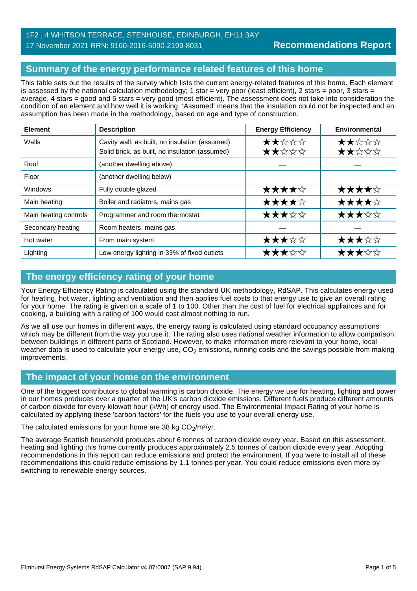# 1F2 , 4 WHITSON TERRACE, STENHOUSE, EDINBURGH, EH11 3AY 17 November 2021 RRN: 9160-2016-5090-2199-8031

# **Summary of the energy performance related features of this home**

This table sets out the results of the survey which lists the current energy-related features of this home. Each element is assessed by the national calculation methodology; 1 star = very poor (least efficient), 2 stars = poor, 3 stars = average, 4 stars = good and 5 stars = very good (most efficient). The assessment does not take into consideration the condition of an element and how well it is working. 'Assumed' means that the insulation could not be inspected and an assumption has been made in the methodology, based on age and type of construction.

| <b>Element</b>        | <b>Description</b>                                                                               | <b>Energy Efficiency</b> | Environmental  |
|-----------------------|--------------------------------------------------------------------------------------------------|--------------------------|----------------|
| Walls                 | Cavity wall, as built, no insulation (assumed)<br>Solid brick, as built, no insulation (assumed) | ★★☆☆☆<br>★★☆☆☆           | ★★☆☆☆<br>★★☆☆☆ |
| Roof                  | (another dwelling above)                                                                         |                          |                |
| Floor                 | (another dwelling below)                                                                         |                          |                |
| <b>Windows</b>        | Fully double glazed                                                                              | ★★★★☆                    | ★★★★☆          |
| Main heating          | Boiler and radiators, mains gas                                                                  | ★★★★☆                    | ★★★★☆          |
| Main heating controls | Programmer and room thermostat                                                                   | ★★★☆☆                    | ★★★☆☆          |
| Secondary heating     | Room heaters, mains gas                                                                          |                          |                |
| Hot water             | From main system                                                                                 | ★★★☆☆                    | ★★★☆☆          |
| Lighting              | Low energy lighting in 33% of fixed outlets                                                      | ★★★☆☆                    | ★★★☆☆          |

# **The energy efficiency rating of your home**

Your Energy Efficiency Rating is calculated using the standard UK methodology, RdSAP. This calculates energy used for heating, hot water, lighting and ventilation and then applies fuel costs to that energy use to give an overall rating for your home. The rating is given on a scale of 1 to 100. Other than the cost of fuel for electrical appliances and for cooking, a building with a rating of 100 would cost almost nothing to run.

As we all use our homes in different ways, the energy rating is calculated using standard occupancy assumptions which may be different from the way you use it. The rating also uses national weather information to allow comparison between buildings in different parts of Scotland. However, to make information more relevant to your home, local weather data is used to calculate your energy use,  $CO<sub>2</sub>$  emissions, running costs and the savings possible from making improvements.

# **The impact of your home on the environment**

One of the biggest contributors to global warming is carbon dioxide. The energy we use for heating, lighting and power in our homes produces over a quarter of the UK's carbon dioxide emissions. Different fuels produce different amounts of carbon dioxide for every kilowatt hour (kWh) of energy used. The Environmental Impact Rating of your home is calculated by applying these 'carbon factors' for the fuels you use to your overall energy use.

The calculated emissions for your home are 38 kg  $CO<sub>2</sub>/m<sup>2</sup>/yr$ .

The average Scottish household produces about 6 tonnes of carbon dioxide every year. Based on this assessment, heating and lighting this home currently produces approximately 2.5 tonnes of carbon dioxide every year. Adopting recommendations in this report can reduce emissions and protect the environment. If you were to install all of these recommendations this could reduce emissions by 1.1 tonnes per year. You could reduce emissions even more by switching to renewable energy sources.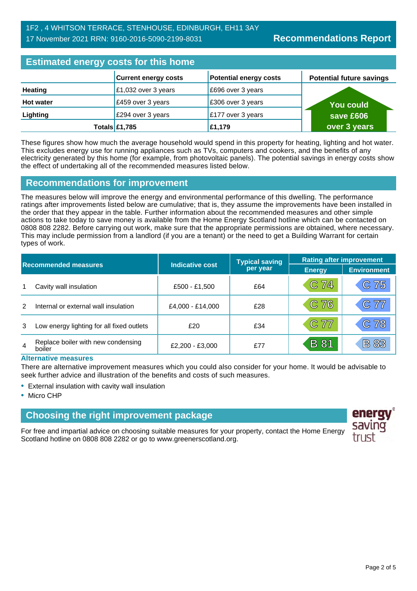# **Estimated energy costs for this home**

| <b>LUMINUM UNUI YY UUUNU TUI MINU MUMU</b> |                             |                               |                                 |
|--------------------------------------------|-----------------------------|-------------------------------|---------------------------------|
|                                            | <b>Current energy costs</b> | <b>Potential energy costs</b> | <b>Potential future savings</b> |
| <b>Heating</b>                             | £1,032 over 3 years         | £696 over 3 years             |                                 |
| <b>Hot water</b>                           | £459 over 3 years           | £306 over 3 years             | <b>You could</b>                |
| Lighting                                   | £294 over 3 years           | £177 over 3 years             | save £606                       |
|                                            | Totals £1,785               | £1,179                        | over 3 years                    |

These figures show how much the average household would spend in this property for heating, lighting and hot water. This excludes energy use for running appliances such as TVs, computers and cookers, and the benefits of any electricity generated by this home (for example, from photovoltaic panels). The potential savings in energy costs show the effect of undertaking all of the recommended measures listed below.

# **Recommendations for improvement**

The measures below will improve the energy and environmental performance of this dwelling. The performance ratings after improvements listed below are cumulative; that is, they assume the improvements have been installed in the order that they appear in the table. Further information about the recommended measures and other simple actions to take today to save money is available from the Home Energy Scotland hotline which can be contacted on 0808 808 2282. Before carrying out work, make sure that the appropriate permissions are obtained, where necessary. This may include permission from a landlord (if you are a tenant) or the need to get a Building Warrant for certain types of work.

| <b>Recommended measures</b> |                                              |                        | <b>Typical saving</b> | <b>Rating after improvement</b> |                    |
|-----------------------------|----------------------------------------------|------------------------|-----------------------|---------------------------------|--------------------|
|                             |                                              | <b>Indicative cost</b> | per year              | <b>Energy</b>                   | <b>Environment</b> |
|                             | Cavity wall insulation                       | £500 - £1,500          | £64                   | C 74                            | C 75               |
|                             | Internal or external wall insulation         | £4,000 - £14,000       | £28                   | C76                             | $\mathbb{C}77$     |
| 3                           | Low energy lighting for all fixed outlets    | £20                    | £34                   | C 77                            | C78                |
| $\overline{4}$              | Replace boiler with new condensing<br>boiler | £2,200 - £3,000        | £77                   | <b>B</b> 81                     | <b>B 83</b>        |

### **Alternative measures**

There are alternative improvement measures which you could also consider for your home. It would be advisable to seek further advice and illustration of the benefits and costs of such measures.

- External insulation with cavity wall insulation
- Micro CHP

# **Choosing the right improvement package**

For free and impartial advice on choosing suitable measures for your property, contact the Home Energy Scotland hotline on 0808 808 2282 or go to www.greenerscotland.org.

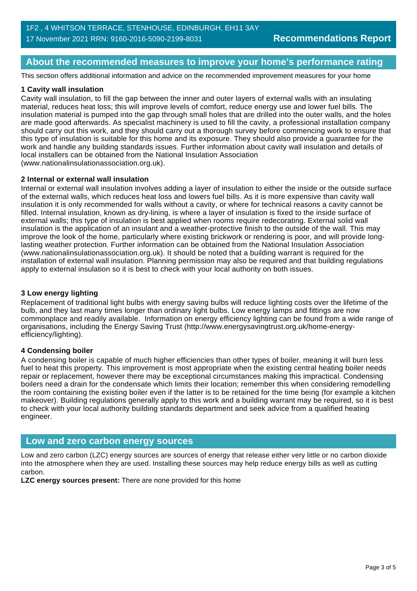# **About the recommended measures to improve your home's performance rating**

This section offers additional information and advice on the recommended improvement measures for your home

### **1 Cavity wall insulation**

Cavity wall insulation, to fill the gap between the inner and outer layers of external walls with an insulating material, reduces heat loss; this will improve levels of comfort, reduce energy use and lower fuel bills. The insulation material is pumped into the gap through small holes that are drilled into the outer walls, and the holes are made good afterwards. As specialist machinery is used to fill the cavity, a professional installation company should carry out this work, and they should carry out a thorough survey before commencing work to ensure that this type of insulation is suitable for this home and its exposure. They should also provide a guarantee for the work and handle any building standards issues. Further information about cavity wall insulation and details of local installers can be obtained from the National Insulation Association (www.nationalinsulationassociation.org.uk).

### **2 Internal or external wall insulation**

Internal or external wall insulation involves adding a layer of insulation to either the inside or the outside surface of the external walls, which reduces heat loss and lowers fuel bills. As it is more expensive than cavity wall insulation it is only recommended for walls without a cavity, or where for technical reasons a cavity cannot be filled. Internal insulation, known as dry-lining, is where a layer of insulation is fixed to the inside surface of external walls; this type of insulation is best applied when rooms require redecorating. External solid wall insulation is the application of an insulant and a weather-protective finish to the outside of the wall. This may improve the look of the home, particularly where existing brickwork or rendering is poor, and will provide longlasting weather protection. Further information can be obtained from the National Insulation Association (www.nationalinsulationassociation.org.uk). It should be noted that a building warrant is required for the installation of external wall insulation. Planning permission may also be required and that building regulations apply to external insulation so it is best to check with your local authority on both issues.

### **3 Low energy lighting**

Replacement of traditional light bulbs with energy saving bulbs will reduce lighting costs over the lifetime of the bulb, and they last many times longer than ordinary light bulbs. Low energy lamps and fittings are now commonplace and readily available. Information on energy efficiency lighting can be found from a wide range of organisations, including the Energy Saving Trust (http://www.energysavingtrust.org.uk/home-energyefficiency/lighting).

### **4 Condensing boiler**

A condensing boiler is capable of much higher efficiencies than other types of boiler, meaning it will burn less fuel to heat this property. This improvement is most appropriate when the existing central heating boiler needs repair or replacement, however there may be exceptional circumstances making this impractical. Condensing boilers need a drain for the condensate which limits their location; remember this when considering remodelling the room containing the existing boiler even if the latter is to be retained for the time being (for example a kitchen makeover). Building regulations generally apply to this work and a building warrant may be required, so it is best to check with your local authority building standards department and seek advice from a qualified heating engineer.

# **Low and zero carbon energy sources**

Low and zero carbon (LZC) energy sources are sources of energy that release either very little or no carbon dioxide into the atmosphere when they are used. Installing these sources may help reduce energy bills as well as cutting carbon.

**LZC energy sources present:** There are none provided for this home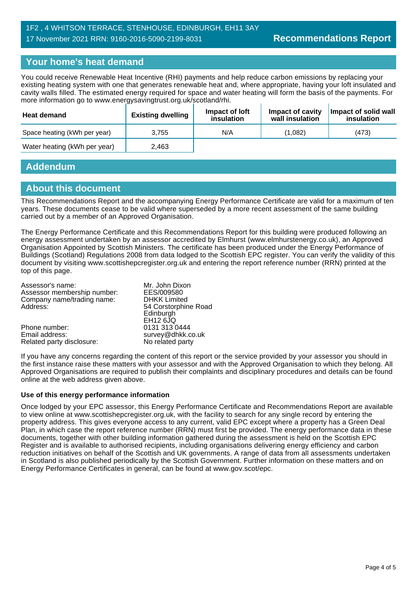# 1F2 , 4 WHITSON TERRACE, STENHOUSE, EDINBURGH, EH11 3AY 17 November 2021 RRN: 9160-2016-5090-2199-8031

# **Your home's heat demand**

You could receive Renewable Heat Incentive (RHI) payments and help reduce carbon emissions by replacing your existing heating system with one that generates renewable heat and, where appropriate, having your loft insulated and cavity walls filled. The estimated energy required for space and water heating will form the basis of the payments. For more information go to www.energysavingtrust.org.uk/scotland/rhi.

| <b>Heat demand</b>           | <b>Existing dwelling</b> | Impact of Joft<br>insulation | Impact of cavity<br>wall insulation | Impact of solid wall<br>insulation |
|------------------------------|--------------------------|------------------------------|-------------------------------------|------------------------------------|
| Space heating (kWh per year) | 3.755                    | N/A                          | (1.082)                             | (473)                              |
| Water heating (kWh per year) | 2.463                    |                              |                                     |                                    |

# **Addendum**

# **About this document**

This Recommendations Report and the accompanying Energy Performance Certificate are valid for a maximum of ten years. These documents cease to be valid where superseded by a more recent assessment of the same building carried out by a member of an Approved Organisation.

The Energy Performance Certificate and this Recommendations Report for this building were produced following an energy assessment undertaken by an assessor accredited by Elmhurst (www.elmhurstenergy.co.uk), an Approved Organisation Appointed by Scottish Ministers. The certificate has been produced under the Energy Performance of Buildings (Scotland) Regulations 2008 from data lodged to the Scottish EPC register. You can verify the validity of this document by visiting www.scottishepcregister.org.uk and entering the report reference number (RRN) printed at the top of this page.

| Mr. John Dixon       |
|----------------------|
| EES/009580           |
| <b>DHKK Limited</b>  |
| 54 Corstorphine Road |
| Edinburgh            |
| <b>EH12 6JQ</b>      |
| 0131 313 0444        |
| survey@dhkk.co.uk    |
| No related party     |
|                      |

If you have any concerns regarding the content of this report or the service provided by your assessor you should in the first instance raise these matters with your assessor and with the Approved Organisation to which they belong. All Approved Organisations are required to publish their complaints and disciplinary procedures and details can be found online at the web address given above.

### **Use of this energy performance information**

Once lodged by your EPC assessor, this Energy Performance Certificate and Recommendations Report are available to view online at www.scottishepcregister.org.uk, with the facility to search for any single record by entering the property address. This gives everyone access to any current, valid EPC except where a property has a Green Deal Plan, in which case the report reference number (RRN) must first be provided. The energy performance data in these documents, together with other building information gathered during the assessment is held on the Scottish EPC Register and is available to authorised recipients, including organisations delivering energy efficiency and carbon reduction initiatives on behalf of the Scottish and UK governments. A range of data from all assessments undertaken in Scotland is also published periodically by the Scottish Government. Further information on these matters and on Energy Performance Certificates in general, can be found at www.gov.scot/epc.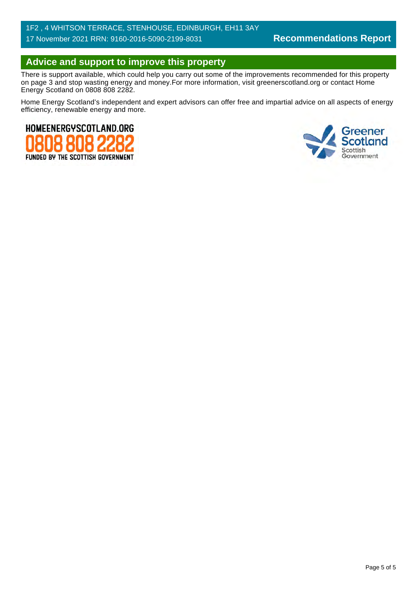# 1F2 , 4 WHITSON TERRACE, STENHOUSE, EDINBURGH, EH11 3AY 17 November 2021 RRN: 9160-2016-5090-2199-8031

# **Advice and support to improve this property**

There is support available, which could help you carry out some of the improvements recommended for this property on page 3 and stop wasting energy and money.For more information, visit greenerscotland.org or contact Home Energy Scotland on 0808 808 2282.

Home Energy Scotland's independent and expert advisors can offer free and impartial advice on all aspects of energy efficiency, renewable energy and more.



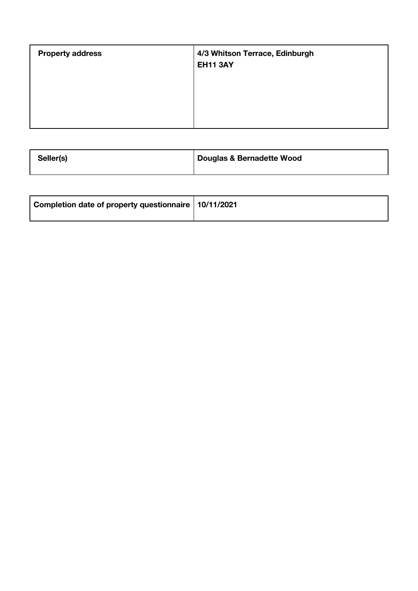| <b>Property address</b> | 4/3 Whitson Terrace, Edinburgh<br><b>EH11 3AY</b> |
|-------------------------|---------------------------------------------------|
|                         |                                                   |

| Seller(s) | Douglas & Bernadette Wood |
|-----------|---------------------------|
|-----------|---------------------------|

| Completion date of property questionnaire   10/11/2021 |  |
|--------------------------------------------------------|--|
|                                                        |  |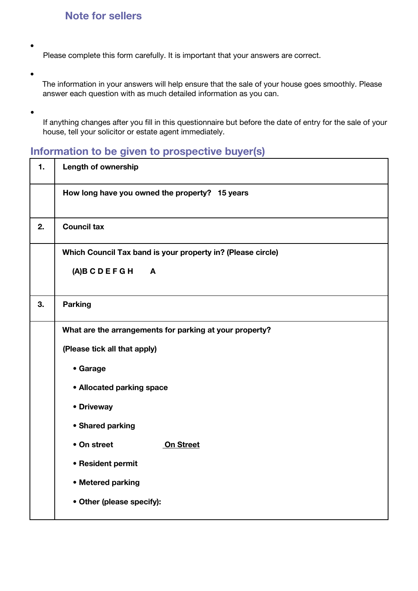# **Note for sellers**

Please complete this form carefully. It is important that your answers are correct.

•

•

•

- The information in your answers will help ensure that the sale of your house goes smoothly. Please answer each question with as much detailed information as you can.
- If anything changes after you fill in this questionnaire but before the date of entry for the sale of your house, tell your solicitor or estate agent immediately.

# **Information to be given to prospective buyer(s)**

| 1. | <b>Length of ownership</b>                                  |
|----|-------------------------------------------------------------|
|    | How long have you owned the property? 15 years              |
| 2. | <b>Council tax</b>                                          |
|    | Which Council Tax band is your property in? (Please circle) |
|    | $(A)$ BCDEFGH<br>A                                          |
| 3. | <b>Parking</b>                                              |
|    | What are the arrangements for parking at your property?     |
|    | (Please tick all that apply)                                |
|    | • Garage                                                    |
|    | • Allocated parking space                                   |
|    | • Driveway                                                  |
|    | • Shared parking                                            |
|    | • On street<br>On Street                                    |
|    | • Resident permit                                           |
|    | • Metered parking                                           |
|    | • Other (please specify):                                   |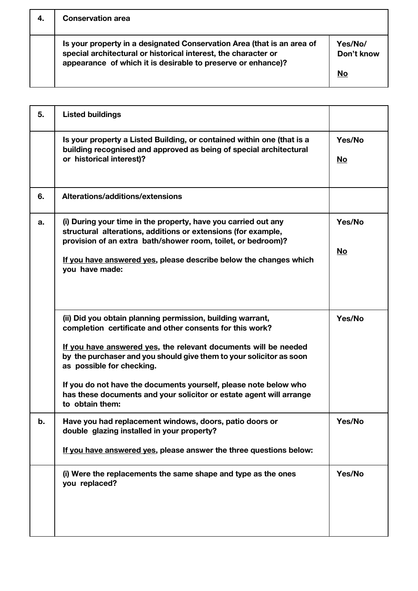| 4. | <b>Conservation area</b>                                                                                                                                                                                 |                       |
|----|----------------------------------------------------------------------------------------------------------------------------------------------------------------------------------------------------------|-----------------------|
|    | Is your property in a designated Conservation Area (that is an area of<br>special architectural or historical interest, the character or<br>appearance of which it is desirable to preserve or enhance)? | Yes/No/<br>Don't know |
|    |                                                                                                                                                                                                          | No                    |

| 5. | <b>Listed buildings</b>                                                                                                                                                                                                                                                                                                                                                                                                                                     |              |
|----|-------------------------------------------------------------------------------------------------------------------------------------------------------------------------------------------------------------------------------------------------------------------------------------------------------------------------------------------------------------------------------------------------------------------------------------------------------------|--------------|
|    | Is your property a Listed Building, or contained within one (that is a<br>building recognised and approved as being of special architectural<br>or historical interest)?                                                                                                                                                                                                                                                                                    | Yes/No<br>No |
| 6. | Alterations/additions/extensions                                                                                                                                                                                                                                                                                                                                                                                                                            |              |
| а. | (i) During your time in the property, have you carried out any<br>structural alterations, additions or extensions (for example,<br>provision of an extra bath/shower room, toilet, or bedroom)?<br>If you have answered yes, please describe below the changes which<br>you have made:                                                                                                                                                                      | Yes/No<br>No |
|    | (ii) Did you obtain planning permission, building warrant,<br>completion certificate and other consents for this work?<br>If you have answered yes, the relevant documents will be needed<br>by the purchaser and you should give them to your solicitor as soon<br>as possible for checking.<br>If you do not have the documents yourself, please note below who<br>has these documents and your solicitor or estate agent will arrange<br>to obtain them: | Yes/No       |
| b. | Have you had replacement windows, doors, patio doors or<br>double glazing installed in your property?<br>If you have answered yes, please answer the three questions below:                                                                                                                                                                                                                                                                                 | Yes/No       |
|    | (i) Were the replacements the same shape and type as the ones<br>you replaced?                                                                                                                                                                                                                                                                                                                                                                              | Yes/No       |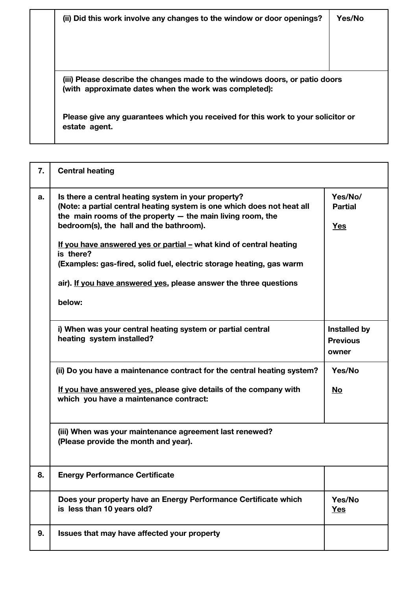| (ii) Did this work involve any changes to the window or door openings?                            | Yes/No |
|---------------------------------------------------------------------------------------------------|--------|
|                                                                                                   |        |
| (iii) Please describe the changes made to the windows doors, or patio doors                       |        |
| (with approximate dates when the work was completed):                                             |        |
| Please give any guarantees which you received for this work to your solicitor or<br>estate agent. |        |

| 7. | <b>Central heating</b>                                                                                                                                                                                                                                                                                                                                                                                                                                                             |                                          |
|----|------------------------------------------------------------------------------------------------------------------------------------------------------------------------------------------------------------------------------------------------------------------------------------------------------------------------------------------------------------------------------------------------------------------------------------------------------------------------------------|------------------------------------------|
| a. | Is there a central heating system in your property?<br>(Note: a partial central heating system is one which does not heat all<br>the main rooms of the property $-$ the main living room, the<br>bedroom(s), the hall and the bathroom).<br>If you have answered yes or partial - what kind of central heating<br>is there?<br>(Examples: gas-fired, solid fuel, electric storage heating, gas warm<br>air). If you have answered yes, please answer the three questions<br>below: | Yes/No/<br><b>Partial</b><br><b>Yes</b>  |
|    | i) When was your central heating system or partial central<br>heating system installed?                                                                                                                                                                                                                                                                                                                                                                                            | Installed by<br><b>Previous</b><br>owner |
|    | (ii) Do you have a maintenance contract for the central heating system?                                                                                                                                                                                                                                                                                                                                                                                                            | Yes/No                                   |
|    | If you have answered yes, please give details of the company with<br>which you have a maintenance contract:                                                                                                                                                                                                                                                                                                                                                                        | No                                       |
|    | (iii) When was your maintenance agreement last renewed?<br>(Please provide the month and year).                                                                                                                                                                                                                                                                                                                                                                                    |                                          |
| 8. | <b>Energy Performance Certificate</b>                                                                                                                                                                                                                                                                                                                                                                                                                                              |                                          |
|    | Does your property have an Energy Performance Certificate which<br>is less than 10 years old?                                                                                                                                                                                                                                                                                                                                                                                      | Yes/No<br><u>Yes</u>                     |
| 9. | Issues that may have affected your property                                                                                                                                                                                                                                                                                                                                                                                                                                        |                                          |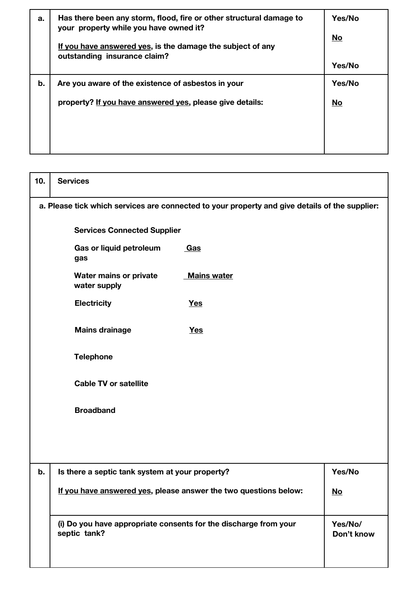| a. | Has there been any storm, flood, fire or other structural damage to<br>your property while you have owned it?<br>If you have answered yes, is the damage the subject of any<br>outstanding insurance claim? | Yes/No<br>No<br>Yes/No |
|----|-------------------------------------------------------------------------------------------------------------------------------------------------------------------------------------------------------------|------------------------|
| b. | Are you aware of the existence of asbestos in your                                                                                                                                                          | Yes/No                 |
|    | property? If you have answered yes, please give details:                                                                                                                                                    | No                     |

| 10. | <b>Services</b>                                                                                |                    |                       |
|-----|------------------------------------------------------------------------------------------------|--------------------|-----------------------|
|     | a. Please tick which services are connected to your property and give details of the supplier: |                    |                       |
|     | <b>Services Connected Supplier</b>                                                             |                    |                       |
|     | Gas or liquid petroleum<br>Gas<br>gas                                                          |                    |                       |
|     | <b>Water mains or private</b><br>water supply                                                  | <b>Mains water</b> |                       |
|     | <b>Electricity</b><br><b>Yes</b>                                                               |                    |                       |
|     | <b>Mains drainage</b><br><b>Yes</b>                                                            |                    |                       |
|     | <b>Telephone</b>                                                                               |                    |                       |
|     | <b>Cable TV or satellite</b>                                                                   |                    |                       |
|     | <b>Broadband</b>                                                                               |                    |                       |
|     |                                                                                                |                    |                       |
|     |                                                                                                |                    |                       |
| b.  | Is there a septic tank system at your property?                                                |                    | Yes/No                |
|     | If you have answered yes, please answer the two questions below:                               |                    | <u>No</u>             |
|     | (i) Do you have appropriate consents for the discharge from your<br>septic tank?               |                    | Yes/No/<br>Don't know |
|     |                                                                                                |                    |                       |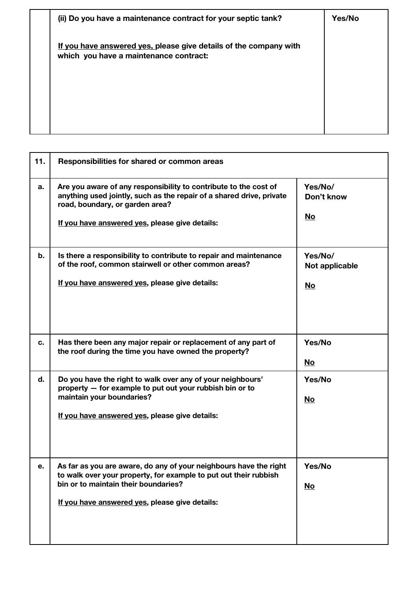| (ii) Do you have a maintenance contract for your septic tank?                                               | Yes/No |
|-------------------------------------------------------------------------------------------------------------|--------|
| If you have answered yes, please give details of the company with<br>which you have a maintenance contract: |        |
|                                                                                                             |        |

| 11. | Responsibilities for shared or common areas                                                                                                                                                                                     |                                        |
|-----|---------------------------------------------------------------------------------------------------------------------------------------------------------------------------------------------------------------------------------|----------------------------------------|
| a.  | Are you aware of any responsibility to contribute to the cost of<br>anything used jointly, such as the repair of a shared drive, private<br>road, boundary, or garden area?<br>If you have answered yes, please give details:   | Yes/No/<br>Don't know<br><u>No</u>     |
| b.  | Is there a responsibility to contribute to repair and maintenance<br>of the roof, common stairwell or other common areas?<br>If you have answered yes, please give details:                                                     | Yes/No/<br>Not applicable<br><u>No</u> |
| c.  | Has there been any major repair or replacement of any part of<br>the roof during the time you have owned the property?                                                                                                          | Yes/No<br><u>No</u>                    |
| d.  | Do you have the right to walk over any of your neighbours'<br>property - for example to put out your rubbish bin or to<br>maintain your boundaries?<br>If you have answered yes, please give details:                           | Yes/No<br><u>No</u>                    |
| e.  | As far as you are aware, do any of your neighbours have the right<br>to walk over your property, for example to put out their rubbish<br>bin or to maintain their boundaries?<br>If you have answered yes, please give details: | Yes/No<br>$\underline{\mathsf{No}}$    |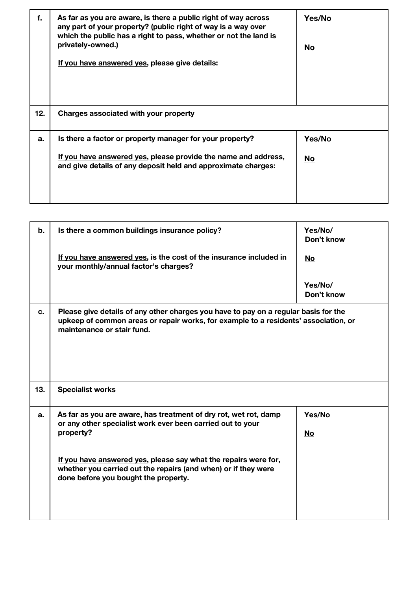| f.  | As far as you are aware, is there a public right of way across<br>any part of your property? (public right of way is a way over<br>which the public has a right to pass, whether or not the land is<br>privately-owned.)<br>If you have answered yes, please give details: | Yes/No<br>No        |
|-----|----------------------------------------------------------------------------------------------------------------------------------------------------------------------------------------------------------------------------------------------------------------------------|---------------------|
| 12. | Charges associated with your property                                                                                                                                                                                                                                      |                     |
| a.  | Is there a factor or property manager for your property?<br>If you have answered yes, please provide the name and address,<br>and give details of any deposit held and approximate charges:                                                                                | Yes/No<br><b>No</b> |

| b.  | Is there a common buildings insurance policy?                                                                                                                                                                                                                                                                            | Yes/No/<br>Don't know |
|-----|--------------------------------------------------------------------------------------------------------------------------------------------------------------------------------------------------------------------------------------------------------------------------------------------------------------------------|-----------------------|
|     | If you have answered yes, is the cost of the insurance included in<br>your monthly/annual factor's charges?                                                                                                                                                                                                              | No                    |
|     |                                                                                                                                                                                                                                                                                                                          | Yes/No/<br>Don't know |
| c.  | Please give details of any other charges you have to pay on a regular basis for the<br>upkeep of common areas or repair works, for example to a residents' association, or<br>maintenance or stair fund.                                                                                                                 |                       |
| 13. | <b>Specialist works</b>                                                                                                                                                                                                                                                                                                  |                       |
| а.  | As far as you are aware, has treatment of dry rot, wet rot, damp<br>or any other specialist work ever been carried out to your<br>property?<br>If you have answered yes, please say what the repairs were for,<br>whether you carried out the repairs (and when) or if they were<br>done before you bought the property. | Yes/No<br><u>No</u>   |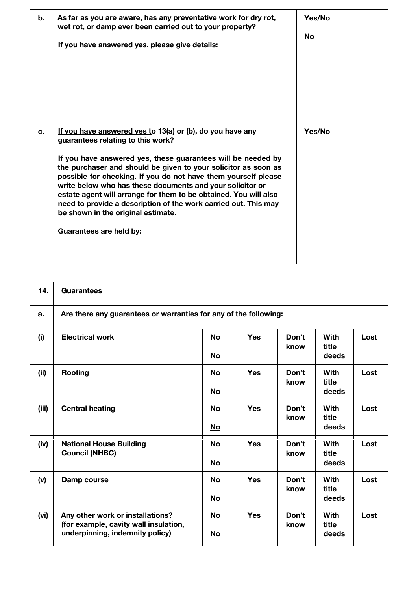| b. | As far as you are aware, has any preventative work for dry rot,<br>wet rot, or damp ever been carried out to your property?<br>If you have answered yes, please give details:                                                                                                                                                                                                                                                                                                                                                                                           | Yes/No<br><u>No</u> |
|----|-------------------------------------------------------------------------------------------------------------------------------------------------------------------------------------------------------------------------------------------------------------------------------------------------------------------------------------------------------------------------------------------------------------------------------------------------------------------------------------------------------------------------------------------------------------------------|---------------------|
| c. | If you have answered yes to 13(a) or (b), do you have any<br>guarantees relating to this work?<br>If you have answered yes, these guarantees will be needed by<br>the purchaser and should be given to your solicitor as soon as<br>possible for checking. If you do not have them yourself please<br>write below who has these documents and your solicitor or<br>estate agent will arrange for them to be obtained. You will also<br>need to provide a description of the work carried out. This may<br>be shown in the original estimate.<br>Guarantees are held by: | Yes/No              |

| 14.   | <b>Guarantees</b>                                                         |           |            |               |                      |      |
|-------|---------------------------------------------------------------------------|-----------|------------|---------------|----------------------|------|
| a.    | Are there any guarantees or warranties for any of the following:          |           |            |               |                      |      |
| (i)   | <b>Electrical work</b>                                                    | <b>No</b> | <b>Yes</b> | Don't<br>know | <b>With</b><br>title | Lost |
|       |                                                                           | <u>No</u> |            |               | deeds                |      |
| (ii)  | Roofing                                                                   | <b>No</b> | <b>Yes</b> | Don't<br>know | <b>With</b><br>title | Lost |
|       |                                                                           | <u>No</u> |            |               | deeds                |      |
| (iii) | <b>Central heating</b>                                                    | <b>No</b> | <b>Yes</b> | Don't<br>know | <b>With</b><br>title | Lost |
|       |                                                                           | <u>No</u> |            |               | deeds                |      |
| (iv)  | <b>National House Building</b><br><b>Council (NHBC)</b>                   | <b>No</b> | <b>Yes</b> | Don't<br>know | <b>With</b><br>title | Lost |
|       |                                                                           | No        |            |               | deeds                |      |
| (v)   | Damp course                                                               | <b>No</b> | <b>Yes</b> | Don't<br>know | <b>With</b><br>title | Lost |
|       |                                                                           | <u>No</u> |            |               | deeds                |      |
| (vi)  | Any other work or installations?<br>(for example, cavity wall insulation, | <b>No</b> | <b>Yes</b> | Don't<br>know | <b>With</b><br>title | Lost |
|       | underpinning, indemnity policy)                                           | <u>No</u> |            |               | deeds                |      |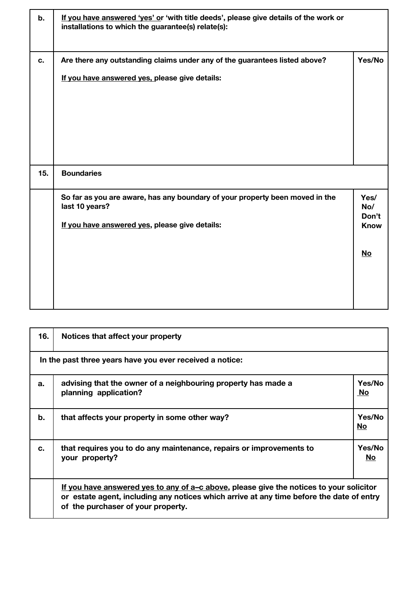| b.  | If you have answered 'yes' or 'with title deeds', please give details of the work or<br>installations to which the guarantee(s) relate(s):       |                                             |
|-----|--------------------------------------------------------------------------------------------------------------------------------------------------|---------------------------------------------|
| c.  | Are there any outstanding claims under any of the guarantees listed above?<br>If you have answered yes, please give details:                     | Yes/No                                      |
| 15. | <b>Boundaries</b>                                                                                                                                |                                             |
|     | So far as you are aware, has any boundary of your property been moved in the<br>last 10 years?<br>If you have answered yes, please give details: | Yes/<br>No/<br>Don't<br><b>Know</b><br>$No$ |

| 16. | Notices that affect your property                                                                                                                                                                                           |                     |  |  |  |
|-----|-----------------------------------------------------------------------------------------------------------------------------------------------------------------------------------------------------------------------------|---------------------|--|--|--|
|     | In the past three years have you ever received a notice:                                                                                                                                                                    |                     |  |  |  |
| a.  | advising that the owner of a neighbouring property has made a<br>planning application?                                                                                                                                      | Yes/No<br>No        |  |  |  |
| b.  | that affects your property in some other way?                                                                                                                                                                               | Yes/No<br>No        |  |  |  |
| C.  | that requires you to do any maintenance, repairs or improvements to<br>your property?                                                                                                                                       | Yes/No<br><b>No</b> |  |  |  |
|     | If you have answered yes to any of $a-c$ above, please give the notices to your solicitor<br>or estate agent, including any notices which arrive at any time before the date of entry<br>of the purchaser of your property. |                     |  |  |  |